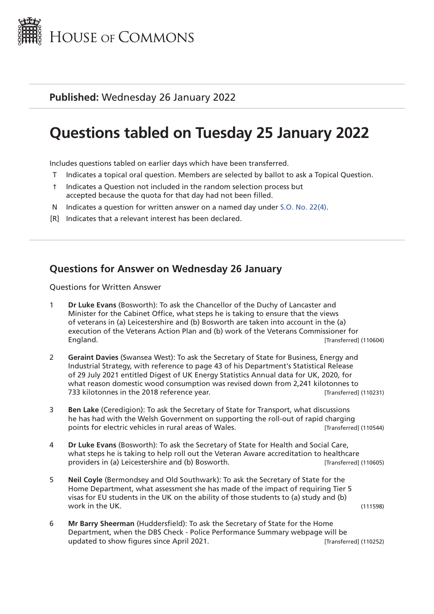

#### **Published:** Wednesday 26 January 2022

# **Questions tabled on Tuesday 25 January 2022**

Includes questions tabled on earlier days which have been transferred.

- T Indicates a topical oral question. Members are selected by ballot to ask a Topical Question.
- † Indicates a Question not included in the random selection process but accepted because the quota for that day had not been filled.
- N Indicates a question for written answer on a named day under [S.O. No. 22\(4\).](http://publications.parliament.uk/pa/cm201719/cmstords/0004/body.html#22(4))
- [R] Indicates that a relevant interest has been declared.

#### **Questions for Answer on Wednesday 26 January**

Questions for Written Answer

- 1 **Dr Luke Evans** (Bosworth): To ask the Chancellor of the Duchy of Lancaster and Minister for the Cabinet Office, what steps he is taking to ensure that the views of veterans in (a) Leicestershire and (b) Bosworth are taken into account in the (a) execution of the Veterans Action Plan and (b) work of the Veterans Commissioner for England. [Transferred] (110604)
- 2 **Geraint Davies** (Swansea West): To ask the Secretary of State for Business, Energy and Industrial Strategy, with reference to page 43 of his Department's Statistical Release of 29 July 2021 entitled Digest of UK Energy Statistics Annual data for UK, 2020, for what reason domestic wood consumption was revised down from 2,241 kilotonnes to 733 kilotonnes in the 2018 reference year. The state of the state of the state (110231)
- 3 **Ben Lake** (Ceredigion): To ask the Secretary of State for Transport, what discussions he has had with the Welsh Government on supporting the roll-out of rapid charging points for electric vehicles in rural areas of Wales. **[Transferred]** (110544)
- 4 **Dr Luke Evans** (Bosworth): To ask the Secretary of State for Health and Social Care, what steps he is taking to help roll out the Veteran Aware accreditation to healthcare providers in (a) Leicestershire and (b) Bosworth. Transferred (110605)
- 5 **Neil Coyle** (Bermondsey and Old Southwark): To ask the Secretary of State for the Home Department, what assessment she has made of the impact of requiring Tier 5 visas for EU students in the UK on the ability of those students to (a) study and (b) work in the UK. (111598)
- 6 **Mr Barry Sheerman** (Huddersfield): To ask the Secretary of State for the Home Department, when the DBS Check - Police Performance Summary webpage will be updated to show figures since April 2021. Transferred (110252)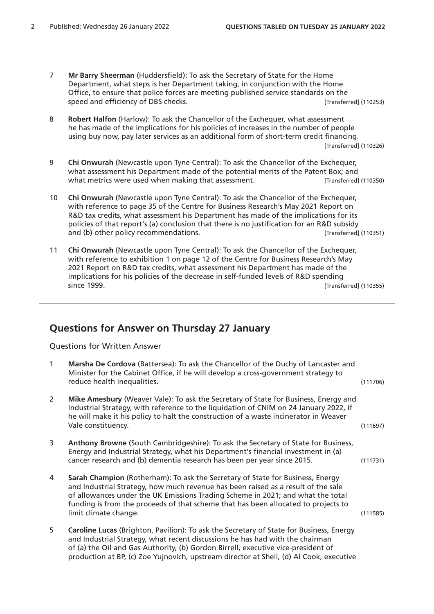- 7 **Mr Barry Sheerman** (Huddersfield): To ask the Secretary of State for the Home Department, what steps is her Department taking, in conjunction with the Home Office, to ensure that police forces are meeting published service standards on the speed and efficiency of DBS checks. **Example 20 and 10253** [Transferred] (110253)
- 8 **Robert Halfon** (Harlow): To ask the Chancellor of the Exchequer, what assessment he has made of the implications for his policies of increases in the number of people using buy now, pay later services as an additional form of short-term credit financing. [Transferred] (110326)
- 9 **Chi Onwurah** (Newcastle upon Tyne Central): To ask the Chancellor of the Exchequer, what assessment his Department made of the potential merits of the Patent Box; and what metrics were used when making that assessment. **[Transferred]** (110350)
- 10 **Chi Onwurah** (Newcastle upon Tyne Central): To ask the Chancellor of the Exchequer, with reference to page 35 of the Centre for Business Research's May 2021 Report on R&D tax credits, what assessment his Department has made of the implications for its policies of that report's (a) conclusion that there is no justification for an R&D subsidy and (b) other policy recommendations. The same state of the state of the state (110351)
- 11 **Chi Onwurah** (Newcastle upon Tyne Central): To ask the Chancellor of the Exchequer, with reference to exhibition 1 on page 12 of the Centre for Business Research's May 2021 Report on R&D tax credits, what assessment his Department has made of the implications for his policies of the decrease in self-funded levels of R&D spending since 1999. [Transferred] (110355)

## **Questions for Answer on Thursday 27 January**

Questions for Written Answer

| $\mathbf{1}$ | Marsha De Cordova (Battersea): To ask the Chancellor of the Duchy of Lancaster and<br>Minister for the Cabinet Office, if he will develop a cross-government strategy to<br>reduce health inequalities.                                                                                                                                                               | (111706) |
|--------------|-----------------------------------------------------------------------------------------------------------------------------------------------------------------------------------------------------------------------------------------------------------------------------------------------------------------------------------------------------------------------|----------|
| 2            | Mike Amesbury (Weaver Vale): To ask the Secretary of State for Business, Energy and<br>Industrial Strategy, with reference to the liquidation of CNIM on 24 January 2022, if<br>he will make it his policy to halt the construction of a waste incinerator in Weaver<br>Vale constituency.                                                                            | (111697) |
| 3            | Anthony Browne (South Cambridgeshire): To ask the Secretary of State for Business,<br>Energy and Industrial Strategy, what his Department's financial investment in (a)<br>cancer research and (b) dementia research has been per year since 2015.                                                                                                                    | (111731) |
| 4            | Sarah Champion (Rotherham): To ask the Secretary of State for Business, Energy<br>and Industrial Strategy, how much revenue has been raised as a result of the sale<br>of allowances under the UK Emissions Trading Scheme in 2021; and what the total<br>funding is from the proceeds of that scheme that has been allocated to projects to<br>limit climate change. | (111585) |
| 5            | Caroline Lucas (Brighton, Pavilion): To ask the Secretary of State for Business, Energy<br>and Industrial Strategy, what recent discussions he has had with the chairman<br>of (a) the Oil and Gas Authority, (b) Gordon Birrell, executive vice-president of                                                                                                         |          |

production at BP, (c) Zoe Yujnovich, upstream director at Shell, (d) Al Cook, executive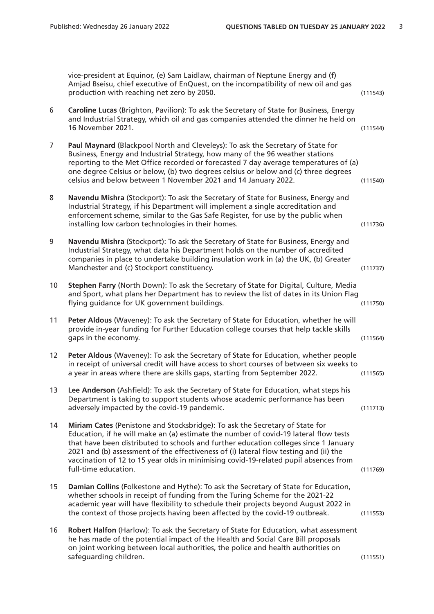|                | vice-president at Equinor, (e) Sam Laidlaw, chairman of Neptune Energy and (f)<br>Amjad Bseisu, chief executive of EnQuest, on the incompatibility of new oil and gas<br>production with reaching net zero by 2050.                                                                                                                                                                                                                                                   | (111543) |
|----------------|-----------------------------------------------------------------------------------------------------------------------------------------------------------------------------------------------------------------------------------------------------------------------------------------------------------------------------------------------------------------------------------------------------------------------------------------------------------------------|----------|
| 6              | Caroline Lucas (Brighton, Pavilion): To ask the Secretary of State for Business, Energy<br>and Industrial Strategy, which oil and gas companies attended the dinner he held on<br>16 November 2021.                                                                                                                                                                                                                                                                   | (111544) |
| $\overline{7}$ | Paul Maynard (Blackpool North and Cleveleys): To ask the Secretary of State for<br>Business, Energy and Industrial Strategy, how many of the 96 weather stations<br>reporting to the Met Office recorded or forecasted 7 day average temperatures of (a)<br>one degree Celsius or below, (b) two degrees celsius or below and (c) three degrees<br>celsius and below between 1 November 2021 and 14 January 2022.                                                     | (111540) |
| 8              | Navendu Mishra (Stockport): To ask the Secretary of State for Business, Energy and<br>Industrial Strategy, if his Department will implement a single accreditation and<br>enforcement scheme, similar to the Gas Safe Register, for use by the public when<br>installing low carbon technologies in their homes.                                                                                                                                                      | (111736) |
| 9              | Navendu Mishra (Stockport): To ask the Secretary of State for Business, Energy and<br>Industrial Strategy, what data his Department holds on the number of accredited<br>companies in place to undertake building insulation work in (a) the UK, (b) Greater<br>Manchester and (c) Stockport constituency.                                                                                                                                                            | (111737) |
| 10             | Stephen Farry (North Down): To ask the Secretary of State for Digital, Culture, Media<br>and Sport, what plans her Department has to review the list of dates in its Union Flag<br>flying guidance for UK government buildings.                                                                                                                                                                                                                                       | (111750) |
| 11             | Peter Aldous (Waveney): To ask the Secretary of State for Education, whether he will<br>provide in-year funding for Further Education college courses that help tackle skills<br>gaps in the economy.                                                                                                                                                                                                                                                                 | (111564) |
| 12             | Peter Aldous (Waveney): To ask the Secretary of State for Education, whether people<br>in receipt of universal credit will have access to short courses of between six weeks to<br>a year in areas where there are skills gaps, starting from September 2022.                                                                                                                                                                                                         | (111565) |
| 13             | Lee Anderson (Ashfield): To ask the Secretary of State for Education, what steps his<br>Department is taking to support students whose academic performance has been<br>adversely impacted by the covid-19 pandemic.                                                                                                                                                                                                                                                  | (111713) |
| 14             | Miriam Cates (Penistone and Stocksbridge): To ask the Secretary of State for<br>Education, if he will make an (a) estimate the number of covid-19 lateral flow tests<br>that have been distributed to schools and further education colleges since 1 January<br>2021 and (b) assessment of the effectiveness of (i) lateral flow testing and (ii) the<br>vaccination of 12 to 15 year olds in minimising covid-19-related pupil absences from<br>full-time education. | (111769) |
| 15             | Damian Collins (Folkestone and Hythe): To ask the Secretary of State for Education,<br>whether schools in receipt of funding from the Turing Scheme for the 2021-22<br>academic year will have flexibility to schedule their projects beyond August 2022 in<br>the context of those projects having been affected by the covid-19 outbreak.                                                                                                                           | (111553) |
| 16             | Robert Halfon (Harlow): To ask the Secretary of State for Education, what assessment<br>he has made of the potential impact of the Health and Social Care Bill proposals<br>on joint working between local authorities, the police and health authorities on<br>safeguarding children.                                                                                                                                                                                | (111551) |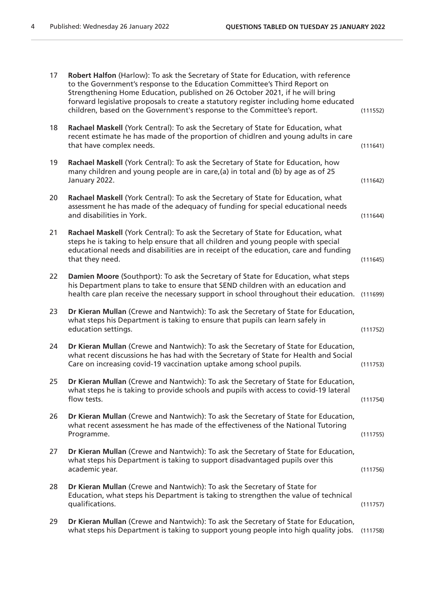| 17 | Robert Halfon (Harlow): To ask the Secretary of State for Education, with reference<br>to the Government's response to the Education Committee's Third Report on<br>Strengthening Home Education, published on 26 October 2021, if he will bring<br>forward legislative proposals to create a statutory register including home educated<br>children, based on the Government's response to the Committee's report. | (111552) |
|----|---------------------------------------------------------------------------------------------------------------------------------------------------------------------------------------------------------------------------------------------------------------------------------------------------------------------------------------------------------------------------------------------------------------------|----------|
| 18 | Rachael Maskell (York Central): To ask the Secretary of State for Education, what<br>recent estimate he has made of the proportion of chidlren and young adults in care<br>that have complex needs.                                                                                                                                                                                                                 | (111641) |
| 19 | Rachael Maskell (York Central): To ask the Secretary of State for Education, how<br>many children and young people are in care, (a) in total and (b) by age as of 25<br>January 2022.                                                                                                                                                                                                                               | (111642) |
| 20 | Rachael Maskell (York Central): To ask the Secretary of State for Education, what<br>assessment he has made of the adequacy of funding for special educational needs<br>and disabilities in York.                                                                                                                                                                                                                   | (111644) |
| 21 | Rachael Maskell (York Central): To ask the Secretary of State for Education, what<br>steps he is taking to help ensure that all children and young people with special<br>educational needs and disabilities are in receipt of the education, care and funding<br>that they need.                                                                                                                                   | (111645) |
| 22 | Damien Moore (Southport): To ask the Secretary of State for Education, what steps<br>his Department plans to take to ensure that SEND children with an education and<br>health care plan receive the necessary support in school throughout their education.                                                                                                                                                        | (111699) |
| 23 | Dr Kieran Mullan (Crewe and Nantwich): To ask the Secretary of State for Education,<br>what steps his Department is taking to ensure that pupils can learn safely in<br>education settings.                                                                                                                                                                                                                         | (111752) |
| 24 | Dr Kieran Mullan (Crewe and Nantwich): To ask the Secretary of State for Education,<br>what recent discussions he has had with the Secretary of State for Health and Social<br>Care on increasing covid-19 vaccination uptake among school pupils.                                                                                                                                                                  | (111753) |
| 25 | Dr Kieran Mullan (Crewe and Nantwich): To ask the Secretary of State for Education,<br>what steps he is taking to provide schools and pupils with access to covid-19 lateral<br>flow tests.                                                                                                                                                                                                                         | (111754) |
| 26 | Dr Kieran Mullan (Crewe and Nantwich): To ask the Secretary of State for Education,<br>what recent assessment he has made of the effectiveness of the National Tutoring<br>Programme.                                                                                                                                                                                                                               | (111755) |
| 27 | Dr Kieran Mullan (Crewe and Nantwich): To ask the Secretary of State for Education,<br>what steps his Department is taking to support disadvantaged pupils over this<br>academic year.                                                                                                                                                                                                                              | (111756) |
| 28 | Dr Kieran Mullan (Crewe and Nantwich): To ask the Secretary of State for<br>Education, what steps his Department is taking to strengthen the value of technical<br>qualifications.                                                                                                                                                                                                                                  | (111757) |
| 29 | Dr Kieran Mullan (Crewe and Nantwich): To ask the Secretary of State for Education,<br>what steps his Department is taking to support young people into high quality jobs.                                                                                                                                                                                                                                          | (111758) |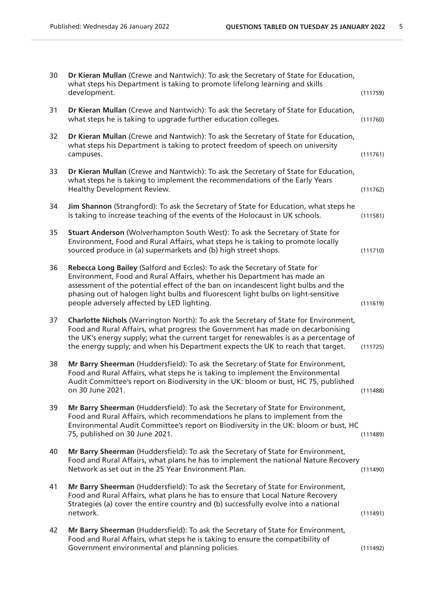| 30 | Dr Kieran Mullan (Crewe and Nantwich): To ask the Secretary of State for Education,<br>what steps his Department is taking to promote lifelong learning and skills<br>development.                                                                                                                                                                                             | (111759) |
|----|--------------------------------------------------------------------------------------------------------------------------------------------------------------------------------------------------------------------------------------------------------------------------------------------------------------------------------------------------------------------------------|----------|
| 31 | Dr Kieran Mullan (Crewe and Nantwich): To ask the Secretary of State for Education,<br>what steps he is taking to upgrade further education colleges.                                                                                                                                                                                                                          | (111760) |
| 32 | Dr Kieran Mullan (Crewe and Nantwich): To ask the Secretary of State for Education,<br>what steps his Department is taking to protect freedom of speech on university<br>campuses.                                                                                                                                                                                             | (111761) |
| 33 | Dr Kieran Mullan (Crewe and Nantwich): To ask the Secretary of State for Education,<br>what steps he is taking to implement the recommendations of the Early Years<br>Healthy Development Review.                                                                                                                                                                              | (111762) |
| 34 | Jim Shannon (Strangford): To ask the Secretary of State for Education, what steps he<br>is taking to increase teaching of the events of the Holocaust in UK schools.                                                                                                                                                                                                           | (111581) |
| 35 | Stuart Anderson (Wolverhampton South West): To ask the Secretary of State for<br>Environment, Food and Rural Affairs, what steps he is taking to promote locally<br>sourced produce in (a) supermarkets and (b) high street shops.                                                                                                                                             | (111710) |
| 36 | Rebecca Long Bailey (Salford and Eccles): To ask the Secretary of State for<br>Environment, Food and Rural Affairs, whether his Department has made an<br>assessment of the potential effect of the ban on incandescent light bulbs and the<br>phasing out of halogen light bulbs and fluorescent light bulbs on light-sensitive<br>people adversely affected by LED lighting. | (111619) |
| 37 | Charlotte Nichols (Warrington North): To ask the Secretary of State for Environment,<br>Food and Rural Affairs, what progress the Government has made on decarbonising<br>the UK's energy supply; what the current target for renewables is as a percentage of<br>the energy supply; and when his Department expects the UK to reach that target.                              | (111725) |
| 38 | Mr Barry Sheerman (Huddersfield): To ask the Secretary of State for Environment,<br>Food and Rural Affairs, what steps he is taking to implement the Environmental<br>Audit Committee's report on Biodiversity in the UK: bloom or bust, HC 75, published<br>on 30 June 2021.                                                                                                  | (111488) |
| 39 | Mr Barry Sheerman (Huddersfield): To ask the Secretary of State for Environment,<br>Food and Rural Affairs, which recommendations he plans to implement from the<br>Environmental Audit Committee's report on Biodiversity in the UK: bloom or bust, HC<br>75, published on 30 June 2021.                                                                                      | (111489) |
| 40 | Mr Barry Sheerman (Huddersfield): To ask the Secretary of State for Environment,<br>Food and Rural Affairs, what plans he has to implement the national Nature Recovery<br>Network as set out in the 25 Year Environment Plan.                                                                                                                                                 | (111490) |
| 41 | Mr Barry Sheerman (Huddersfield): To ask the Secretary of State for Environment,<br>Food and Rural Affairs, what plans he has to ensure that Local Nature Recovery<br>Strategies (a) cover the entire country and (b) successfully evolve into a national<br>network.                                                                                                          | (111491) |
| 42 | Mr Barry Sheerman (Huddersfield): To ask the Secretary of State for Environment,<br>Food and Rural Affairs, what steps he is taking to ensure the compatibility of<br>Government environmental and planning policies.                                                                                                                                                          | (111492) |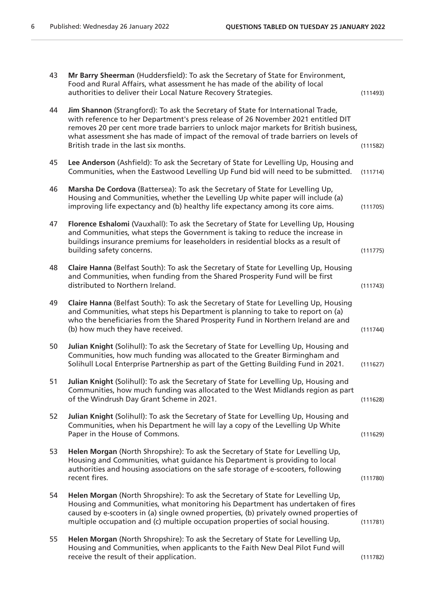| 43 | Mr Barry Sheerman (Huddersfield): To ask the Secretary of State for Environment,<br>Food and Rural Affairs, what assessment he has made of the ability of local<br>authorities to deliver their Local Nature Recovery Strategies.                                                                                                                                                               | (111493) |
|----|-------------------------------------------------------------------------------------------------------------------------------------------------------------------------------------------------------------------------------------------------------------------------------------------------------------------------------------------------------------------------------------------------|----------|
| 44 | Jim Shannon (Strangford): To ask the Secretary of State for International Trade,<br>with reference to her Department's press release of 26 November 2021 entitled DIT<br>removes 20 per cent more trade barriers to unlock major markets for British business,<br>what assessment she has made of impact of the removal of trade barriers on levels of<br>British trade in the last six months. | (111582) |
| 45 | Lee Anderson (Ashfield): To ask the Secretary of State for Levelling Up, Housing and<br>Communities, when the Eastwood Levelling Up Fund bid will need to be submitted.                                                                                                                                                                                                                         | (111714) |
| 46 | Marsha De Cordova (Battersea): To ask the Secretary of State for Levelling Up,<br>Housing and Communities, whether the Levelling Up white paper will include (a)<br>improving life expectancy and (b) healthy life expectancy among its core aims.                                                                                                                                              | (111705) |
| 47 | Florence Eshalomi (Vauxhall): To ask the Secretary of State for Levelling Up, Housing<br>and Communities, what steps the Government is taking to reduce the increase in<br>buildings insurance premiums for leaseholders in residential blocks as a result of<br>building safety concerns.                                                                                                      | (111775) |
| 48 | Claire Hanna (Belfast South): To ask the Secretary of State for Levelling Up, Housing<br>and Communities, when funding from the Shared Prosperity Fund will be first<br>distributed to Northern Ireland.                                                                                                                                                                                        | (111743) |
| 49 | Claire Hanna (Belfast South): To ask the Secretary of State for Levelling Up, Housing<br>and Communities, what steps his Department is planning to take to report on (a)<br>who the beneficiaries from the Shared Prosperity Fund in Northern Ireland are and<br>(b) how much they have received.                                                                                               | (111744) |
| 50 | Julian Knight (Solihull): To ask the Secretary of State for Levelling Up, Housing and<br>Communities, how much funding was allocated to the Greater Birmingham and<br>Solihull Local Enterprise Partnership as part of the Getting Building Fund in 2021.                                                                                                                                       | (111627) |
| 51 | Julian Knight (Solihull): To ask the Secretary of State for Levelling Up, Housing and<br>Communities, how much funding was allocated to the West Midlands region as part<br>of the Windrush Day Grant Scheme in 2021.                                                                                                                                                                           | (111628) |
| 52 | Julian Knight (Solihull): To ask the Secretary of State for Levelling Up, Housing and<br>Communities, when his Department he will lay a copy of the Levelling Up White<br>Paper in the House of Commons.                                                                                                                                                                                        | (111629) |
| 53 | Helen Morgan (North Shropshire): To ask the Secretary of State for Levelling Up,<br>Housing and Communities, what guidance his Department is providing to local<br>authorities and housing associations on the safe storage of e-scooters, following<br>recent fires.                                                                                                                           | (111780) |
| 54 | Helen Morgan (North Shropshire): To ask the Secretary of State for Levelling Up,<br>Housing and Communities, what monitoring his Department has undertaken of fires<br>caused by e-scooters in (a) single owned properties, (b) privately owned properties of<br>multiple occupation and (c) multiple occupation properties of social housing.                                                  | (111781) |
| 55 | Helen Morgan (North Shropshire): To ask the Secretary of State for Levelling Up,<br>Housing and Communities, when applicants to the Faith New Deal Pilot Fund will<br>receive the result of their application.                                                                                                                                                                                  | (111782) |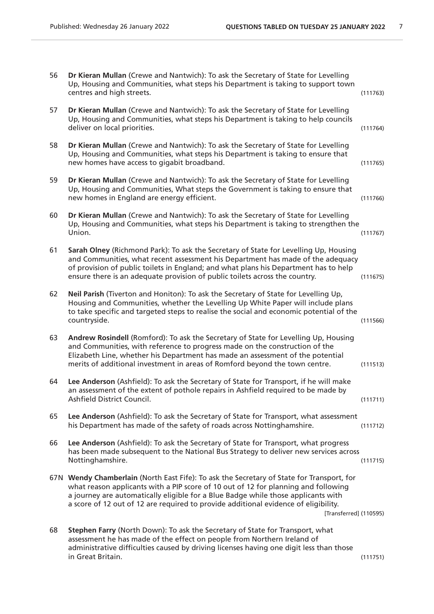| 56 | Dr Kieran Mullan (Crewe and Nantwich): To ask the Secretary of State for Levelling<br>Up, Housing and Communities, what steps his Department is taking to support town<br>centres and high streets.                                                                                                                                                                                   | (111763) |
|----|---------------------------------------------------------------------------------------------------------------------------------------------------------------------------------------------------------------------------------------------------------------------------------------------------------------------------------------------------------------------------------------|----------|
| 57 | Dr Kieran Mullan (Crewe and Nantwich): To ask the Secretary of State for Levelling<br>Up, Housing and Communities, what steps his Department is taking to help councils<br>deliver on local priorities.                                                                                                                                                                               | (111764) |
| 58 | Dr Kieran Mullan (Crewe and Nantwich): To ask the Secretary of State for Levelling<br>Up, Housing and Communities, what steps his Department is taking to ensure that<br>new homes have access to gigabit broadband.                                                                                                                                                                  | (111765) |
| 59 | Dr Kieran Mullan (Crewe and Nantwich): To ask the Secretary of State for Levelling<br>Up, Housing and Communities, What steps the Government is taking to ensure that<br>new homes in England are energy efficient.                                                                                                                                                                   | (111766) |
| 60 | Dr Kieran Mullan (Crewe and Nantwich): To ask the Secretary of State for Levelling<br>Up, Housing and Communities, what steps his Department is taking to strengthen the<br>Union.                                                                                                                                                                                                    | (111767) |
| 61 | Sarah Olney (Richmond Park): To ask the Secretary of State for Levelling Up, Housing<br>and Communities, what recent assessment his Department has made of the adequacy<br>of provision of public toilets in England; and what plans his Department has to help<br>ensure there is an adequate provision of public toilets across the country.                                        | (111675) |
| 62 | Neil Parish (Tiverton and Honiton): To ask the Secretary of State for Levelling Up,<br>Housing and Communities, whether the Levelling Up White Paper will include plans<br>to take specific and targeted steps to realise the social and economic potential of the<br>countryside.                                                                                                    | (111566) |
| 63 | Andrew Rosindell (Romford): To ask the Secretary of State for Levelling Up, Housing<br>and Communities, with reference to progress made on the construction of the<br>Elizabeth Line, whether his Department has made an assessment of the potential<br>merits of additional investment in areas of Romford beyond the town centre.                                                   | (111513) |
| 64 | Lee Anderson (Ashfield): To ask the Secretary of State for Transport, if he will make<br>an assessment of the extent of pothole repairs in Ashfield required to be made by<br>Ashfield District Council.                                                                                                                                                                              | (111711) |
| 65 | Lee Anderson (Ashfield): To ask the Secretary of State for Transport, what assessment<br>his Department has made of the safety of roads across Nottinghamshire.                                                                                                                                                                                                                       | (111712) |
| 66 | Lee Anderson (Ashfield): To ask the Secretary of State for Transport, what progress<br>has been made subsequent to the National Bus Strategy to deliver new services across<br>Nottinghamshire.                                                                                                                                                                                       | (111715) |
|    | 67N Wendy Chamberlain (North East Fife): To ask the Secretary of State for Transport, for<br>what reason applicants with a PIP score of 10 out of 12 for planning and following<br>a journey are automatically eligible for a Blue Badge while those applicants with<br>a score of 12 out of 12 are required to provide additional evidence of eligibility.<br>[Transferred] (110595) |          |
| 68 | Stephen Farry (North Down): To ask the Secretary of State for Transport, what<br>assessment he has made of the effect on people from Northern Ireland of<br>administrative difficulties caused by driving licenses having one digit less than those<br>in Great Britain.                                                                                                              | (111751) |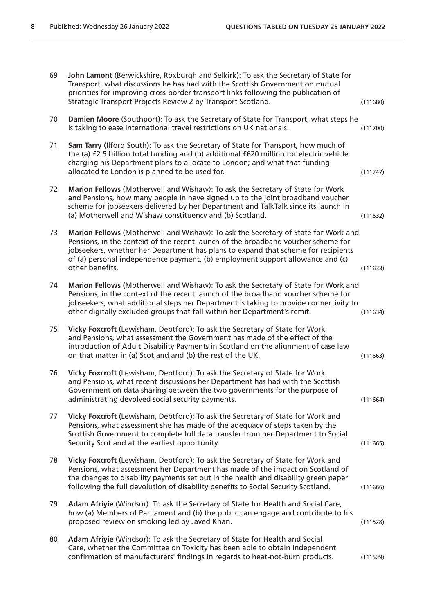| 69 | John Lamont (Berwickshire, Roxburgh and Selkirk): To ask the Secretary of State for<br>Transport, what discussions he has had with the Scottish Government on mutual<br>priorities for improving cross-border transport links following the publication of<br>Strategic Transport Projects Review 2 by Transport Scotland.                                        | (111680) |
|----|-------------------------------------------------------------------------------------------------------------------------------------------------------------------------------------------------------------------------------------------------------------------------------------------------------------------------------------------------------------------|----------|
| 70 | Damien Moore (Southport): To ask the Secretary of State for Transport, what steps he<br>is taking to ease international travel restrictions on UK nationals.                                                                                                                                                                                                      | (111700) |
| 71 | Sam Tarry (Ilford South): To ask the Secretary of State for Transport, how much of<br>the (a) £2.5 billion total funding and (b) additional £620 million for electric vehicle<br>charging his Department plans to allocate to London; and what that funding<br>allocated to London is planned to be used for.                                                     | (111747) |
| 72 | Marion Fellows (Motherwell and Wishaw): To ask the Secretary of State for Work<br>and Pensions, how many people in have signed up to the joint broadband voucher<br>scheme for jobseekers delivered by her Department and TalkTalk since its launch in<br>(a) Motherwell and Wishaw constituency and (b) Scotland.                                                | (111632) |
| 73 | Marion Fellows (Motherwell and Wishaw): To ask the Secretary of State for Work and<br>Pensions, in the context of the recent launch of the broadband voucher scheme for<br>jobseekers, whether her Department has plans to expand that scheme for recipients<br>of (a) personal independence payment, (b) employment support allowance and (c)<br>other benefits. | (111633) |
| 74 | Marion Fellows (Motherwell and Wishaw): To ask the Secretary of State for Work and<br>Pensions, in the context of the recent launch of the broadband voucher scheme for<br>jobseekers, what additional steps her Department is taking to provide connectivity to<br>other digitally excluded groups that fall within her Department's remit.                      | (111634) |
| 75 | Vicky Foxcroft (Lewisham, Deptford): To ask the Secretary of State for Work<br>and Pensions, what assessment the Government has made of the effect of the<br>introduction of Adult Disability Payments in Scotland on the alignment of case law<br>on that matter in (a) Scotland and (b) the rest of the UK.                                                     | (111663) |
| 76 | Vicky Foxcroft (Lewisham, Deptford): To ask the Secretary of State for Work<br>and Pensions, what recent discussions her Department has had with the Scottish<br>Government on data sharing between the two governments for the purpose of<br>administrating devolved social security payments.                                                                   | (111664) |
| 77 | Vicky Foxcroft (Lewisham, Deptford): To ask the Secretary of State for Work and<br>Pensions, what assessment she has made of the adequacy of steps taken by the<br>Scottish Government to complete full data transfer from her Department to Social<br>Security Scotland at the earliest opportunity.                                                             | (111665) |
| 78 | Vicky Foxcroft (Lewisham, Deptford): To ask the Secretary of State for Work and<br>Pensions, what assessment her Department has made of the impact on Scotland of<br>the changes to disability payments set out in the health and disability green paper<br>following the full devolution of disability benefits to Social Security Scotland.                     | (111666) |
| 79 | Adam Afriyie (Windsor): To ask the Secretary of State for Health and Social Care,<br>how (a) Members of Parliament and (b) the public can engage and contribute to his<br>proposed review on smoking led by Javed Khan.                                                                                                                                           | (111528) |
| 80 | Adam Afriyie (Windsor): To ask the Secretary of State for Health and Social<br>Care, whether the Committee on Toxicity has been able to obtain independent<br>confirmation of manufacturers' findings in regards to heat-not-burn products.                                                                                                                       | (111529) |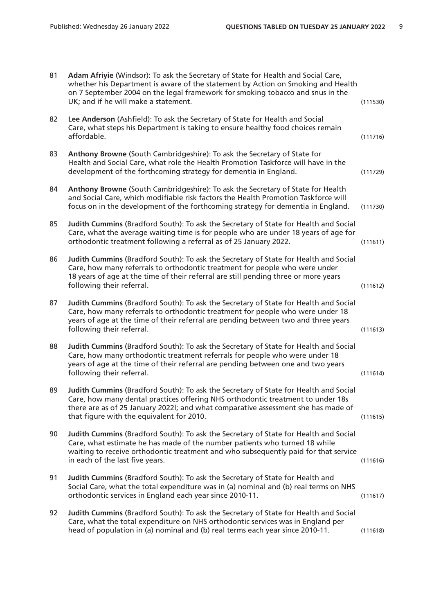| 81 | Adam Afriyie (Windsor): To ask the Secretary of State for Health and Social Care,<br>whether his Department is aware of the statement by Action on Smoking and Health<br>on 7 September 2004 on the legal framework for smoking tobacco and snus in the<br>UK; and if he will make a statement.           | (111530) |
|----|-----------------------------------------------------------------------------------------------------------------------------------------------------------------------------------------------------------------------------------------------------------------------------------------------------------|----------|
| 82 | Lee Anderson (Ashfield): To ask the Secretary of State for Health and Social<br>Care, what steps his Department is taking to ensure healthy food choices remain<br>affordable.                                                                                                                            | (111716) |
| 83 | Anthony Browne (South Cambridgeshire): To ask the Secretary of State for<br>Health and Social Care, what role the Health Promotion Taskforce will have in the<br>development of the forthcoming strategy for dementia in England.                                                                         | (111729) |
| 84 | Anthony Browne (South Cambridgeshire): To ask the Secretary of State for Health<br>and Social Care, which modifiable risk factors the Health Promotion Taskforce will<br>focus on in the development of the forthcoming strategy for dementia in England.                                                 | (111730) |
| 85 | Judith Cummins (Bradford South): To ask the Secretary of State for Health and Social<br>Care, what the average waiting time is for people who are under 18 years of age for<br>orthodontic treatment following a referral as of 25 January 2022.                                                          | (111611) |
| 86 | Judith Cummins (Bradford South): To ask the Secretary of State for Health and Social<br>Care, how many referrals to orthodontic treatment for people who were under<br>18 years of age at the time of their referral are still pending three or more years<br>following their referral.                   | (111612) |
| 87 | Judith Cummins (Bradford South): To ask the Secretary of State for Health and Social<br>Care, how many referrals to orthodontic treatment for people who were under 18<br>years of age at the time of their referral are pending between two and three years<br>following their referral.                 | (111613) |
| 88 | Judith Cummins (Bradford South): To ask the Secretary of State for Health and Social<br>Care, how many orthodontic treatment referrals for people who were under 18<br>years of age at the time of their referral are pending between one and two years<br>following their referral.                      | (111614) |
| 89 | Judith Cummins (Bradford South): To ask the Secretary of State for Health and Social<br>Care, how many dental practices offering NHS orthodontic treatment to under 18s<br>there are as of 25 January 2022l; and what comparative assessment she has made of<br>that figure with the equivalent for 2010. | (111615) |
| 90 | Judith Cummins (Bradford South): To ask the Secretary of State for Health and Social<br>Care, what estimate he has made of the number patients who turned 18 while<br>waiting to receive orthodontic treatment and who subsequently paid for that service<br>in each of the last five years.              | (111616) |
| 91 | Judith Cummins (Bradford South): To ask the Secretary of State for Health and<br>Social Care, what the total expenditure was in (a) nominal and (b) real terms on NHS<br>orthodontic services in England each year since 2010-11.                                                                         | (111617) |
| 92 | Judith Cummins (Bradford South): To ask the Secretary of State for Health and Social<br>Care, what the total expenditure on NHS orthodontic services was in England per<br>head of population in (a) nominal and (b) real terms each year since 2010-11.                                                  | (111618) |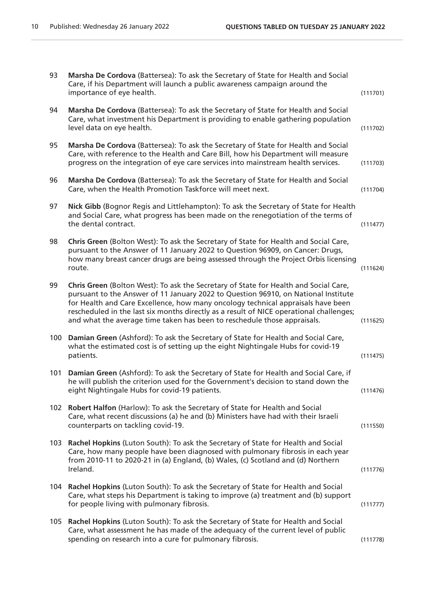| 93  | Marsha De Cordova (Battersea): To ask the Secretary of State for Health and Social<br>Care, if his Department will launch a public awareness campaign around the<br>importance of eye health.                                                                                                                                                                                                                                         | (111701) |
|-----|---------------------------------------------------------------------------------------------------------------------------------------------------------------------------------------------------------------------------------------------------------------------------------------------------------------------------------------------------------------------------------------------------------------------------------------|----------|
| 94  | Marsha De Cordova (Battersea): To ask the Secretary of State for Health and Social<br>Care, what investment his Department is providing to enable gathering population<br>level data on eye health.                                                                                                                                                                                                                                   | (111702) |
| 95  | Marsha De Cordova (Battersea): To ask the Secretary of State for Health and Social<br>Care, with reference to the Health and Care Bill, how his Department will measure<br>progress on the integration of eye care services into mainstream health services.                                                                                                                                                                          | (111703) |
| 96  | Marsha De Cordova (Battersea): To ask the Secretary of State for Health and Social<br>Care, when the Health Promotion Taskforce will meet next.                                                                                                                                                                                                                                                                                       | (111704) |
| 97  | Nick Gibb (Bognor Regis and Littlehampton): To ask the Secretary of State for Health<br>and Social Care, what progress has been made on the renegotiation of the terms of<br>the dental contract.                                                                                                                                                                                                                                     | (111477) |
| 98  | Chris Green (Bolton West): To ask the Secretary of State for Health and Social Care,<br>pursuant to the Answer of 11 January 2022 to Question 96909, on Cancer: Drugs,<br>how many breast cancer drugs are being assessed through the Project Orbis licensing<br>route.                                                                                                                                                               | (111624) |
| 99  | Chris Green (Bolton West): To ask the Secretary of State for Health and Social Care,<br>pursuant to the Answer of 11 January 2022 to Question 96910, on National Institute<br>for Health and Care Excellence, how many oncology technical appraisals have been<br>rescheduled in the last six months directly as a result of NICE operational challenges;<br>and what the average time taken has been to reschedule those appraisals. | (111625) |
| 100 | Damian Green (Ashford): To ask the Secretary of State for Health and Social Care,<br>what the estimated cost is of setting up the eight Nightingale Hubs for covid-19<br>patients.                                                                                                                                                                                                                                                    | (111475) |
| 101 | Damian Green (Ashford): To ask the Secretary of State for Health and Social Care, if<br>he will publish the criterion used for the Government's decision to stand down the<br>eight Nightingale Hubs for covid-19 patients.                                                                                                                                                                                                           | (111476) |
|     | 102 Robert Halfon (Harlow): To ask the Secretary of State for Health and Social<br>Care, what recent discussions (a) he and (b) Ministers have had with their Israeli<br>counterparts on tackling covid-19.                                                                                                                                                                                                                           | (111550) |
|     | 103 Rachel Hopkins (Luton South): To ask the Secretary of State for Health and Social<br>Care, how many people have been diagnosed with pulmonary fibrosis in each year<br>from 2010-11 to 2020-21 in (a) England, (b) Wales, (c) Scotland and (d) Northern<br>Ireland.                                                                                                                                                               | (111776) |
|     | 104 Rachel Hopkins (Luton South): To ask the Secretary of State for Health and Social<br>Care, what steps his Department is taking to improve (a) treatment and (b) support<br>for people living with pulmonary fibrosis.                                                                                                                                                                                                             | (111777) |
|     | 105 Rachel Hopkins (Luton South): To ask the Secretary of State for Health and Social<br>Care, what assessment he has made of the adequacy of the current level of public<br>spending on research into a cure for pulmonary fibrosis.                                                                                                                                                                                                 | (111778) |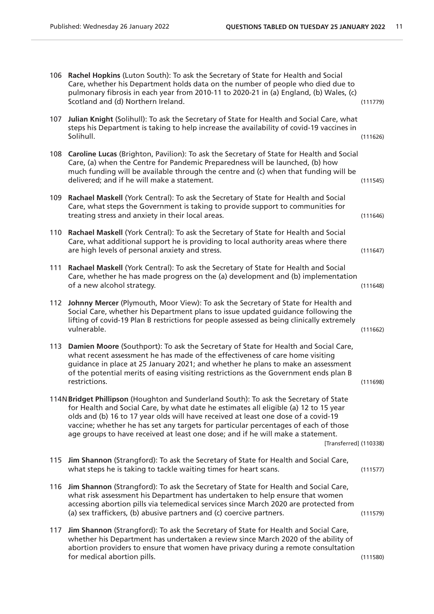|     | 106 Rachel Hopkins (Luton South): To ask the Secretary of State for Health and Social<br>Care, whether his Department holds data on the number of people who died due to<br>pulmonary fibrosis in each year from 2010-11 to 2020-21 in (a) England, (b) Wales, (c)<br>Scotland and (d) Northern Ireland.                                                                                                                                                                 | (111779) |
|-----|--------------------------------------------------------------------------------------------------------------------------------------------------------------------------------------------------------------------------------------------------------------------------------------------------------------------------------------------------------------------------------------------------------------------------------------------------------------------------|----------|
| 107 | Julian Knight (Solihull): To ask the Secretary of State for Health and Social Care, what<br>steps his Department is taking to help increase the availability of covid-19 vaccines in<br>Solihull.                                                                                                                                                                                                                                                                        | (111626) |
| 108 | Caroline Lucas (Brighton, Pavilion): To ask the Secretary of State for Health and Social<br>Care, (a) when the Centre for Pandemic Preparedness will be launched, (b) how<br>much funding will be available through the centre and (c) when that funding will be<br>delivered; and if he will make a statement.                                                                                                                                                          | (111545) |
| 109 | Rachael Maskell (York Central): To ask the Secretary of State for Health and Social<br>Care, what steps the Government is taking to provide support to communities for<br>treating stress and anxiety in their local areas.                                                                                                                                                                                                                                              | (111646) |
|     | 110 Rachael Maskell (York Central): To ask the Secretary of State for Health and Social<br>Care, what additional support he is providing to local authority areas where there<br>are high levels of personal anxiety and stress.                                                                                                                                                                                                                                         | (111647) |
| 111 | Rachael Maskell (York Central): To ask the Secretary of State for Health and Social<br>Care, whether he has made progress on the (a) development and (b) implementation<br>of a new alcohol strategy.                                                                                                                                                                                                                                                                    | (111648) |
| 112 | Johnny Mercer (Plymouth, Moor View): To ask the Secretary of State for Health and<br>Social Care, whether his Department plans to issue updated guidance following the<br>lifting of covid-19 Plan B restrictions for people assessed as being clinically extremely<br>vulnerable.                                                                                                                                                                                       | (111662) |
| 113 | Damien Moore (Southport): To ask the Secretary of State for Health and Social Care,<br>what recent assessment he has made of the effectiveness of care home visiting<br>guidance in place at 25 January 2021; and whether he plans to make an assessment<br>of the potential merits of easing visiting restrictions as the Government ends plan B<br>restrictions.                                                                                                       | (111698) |
|     | 114N Bridget Phillipson (Houghton and Sunderland South): To ask the Secretary of State<br>for Health and Social Care, by what date he estimates all eligible (a) 12 to 15 year<br>olds and (b) 16 to 17 year olds will have received at least one dose of a covid-19<br>vaccine; whether he has set any targets for particular percentages of each of those<br>age groups to have received at least one dose; and if he will make a statement.<br>[Transferred] (110338) |          |
| 115 | Jim Shannon (Strangford): To ask the Secretary of State for Health and Social Care,<br>what steps he is taking to tackle waiting times for heart scans.                                                                                                                                                                                                                                                                                                                  | (111577) |
| 116 | Jim Shannon (Strangford): To ask the Secretary of State for Health and Social Care,<br>what risk assessment his Department has undertaken to help ensure that women<br>accessing abortion pills via telemedical services since March 2020 are protected from<br>(a) sex traffickers, (b) abusive partners and (c) coercive partners.                                                                                                                                     | (111579) |
| 117 | Jim Shannon (Strangford): To ask the Secretary of State for Health and Social Care,<br>whether his Department has undertaken a review since March 2020 of the ability of<br>abortion providers to ensure that women have privacy during a remote consultation<br>for medical abortion pills.                                                                                                                                                                             | (111580) |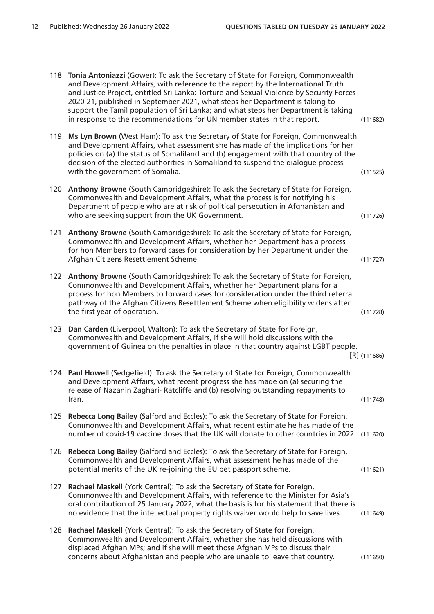| 118 | Tonia Antoniazzi (Gower): To ask the Secretary of State for Foreign, Commonwealth<br>and Development Affairs, with reference to the report by the International Truth<br>and Justice Project, entitled Sri Lanka: Torture and Sexual Violence by Security Forces<br>2020-21, published in September 2021, what steps her Department is taking to<br>support the Tamil population of Sri Lanka; and what steps her Department is taking<br>in response to the recommendations for UN member states in that report. | (111682)       |
|-----|-------------------------------------------------------------------------------------------------------------------------------------------------------------------------------------------------------------------------------------------------------------------------------------------------------------------------------------------------------------------------------------------------------------------------------------------------------------------------------------------------------------------|----------------|
| 119 | Ms Lyn Brown (West Ham): To ask the Secretary of State for Foreign, Commonwealth<br>and Development Affairs, what assessment she has made of the implications for her<br>policies on (a) the status of Somaliland and (b) engagement with that country of the<br>decision of the elected authorities in Somaliland to suspend the dialogue process<br>with the government of Somalia.                                                                                                                             | (111525)       |
| 120 | Anthony Browne (South Cambridgeshire): To ask the Secretary of State for Foreign,<br>Commonwealth and Development Affairs, what the process is for notifying his<br>Department of people who are at risk of political persecution in Afghanistan and<br>who are seeking support from the UK Government.                                                                                                                                                                                                           | (111726)       |
| 121 | Anthony Browne (South Cambridgeshire): To ask the Secretary of State for Foreign,<br>Commonwealth and Development Affairs, whether her Department has a process<br>for hon Members to forward cases for consideration by her Department under the<br>Afghan Citizens Resettlement Scheme.                                                                                                                                                                                                                         | (111727)       |
| 122 | Anthony Browne (South Cambridgeshire): To ask the Secretary of State for Foreign,<br>Commonwealth and Development Affairs, whether her Department plans for a<br>process for hon Members to forward cases for consideration under the third referral<br>pathway of the Afghan Citizens Resettlement Scheme when eligibility widens after<br>the first year of operation.                                                                                                                                          | (111728)       |
| 123 | Dan Carden (Liverpool, Walton): To ask the Secretary of State for Foreign,<br>Commonwealth and Development Affairs, if she will hold discussions with the<br>government of Guinea on the penalties in place in that country against LGBT people.                                                                                                                                                                                                                                                                  | $[R]$ (111686) |
| 124 | Paul Howell (Sedgefield): To ask the Secretary of State for Foreign, Commonwealth<br>and Development Affairs, what recent progress she has made on (a) securing the<br>release of Nazanin Zaghari- Ratcliffe and (b) resolving outstanding repayments to<br>Iran.                                                                                                                                                                                                                                                 | (111748)       |
| 125 | Rebecca Long Bailey (Salford and Eccles): To ask the Secretary of State for Foreign,<br>Commonwealth and Development Affairs, what recent estimate he has made of the<br>number of covid-19 vaccine doses that the UK will donate to other countries in 2022. (111620)                                                                                                                                                                                                                                            |                |
| 126 | Rebecca Long Bailey (Salford and Eccles): To ask the Secretary of State for Foreign,<br>Commonwealth and Development Affairs, what assessment he has made of the<br>potential merits of the UK re-joining the EU pet passport scheme.                                                                                                                                                                                                                                                                             | (111621)       |
| 127 | Rachael Maskell (York Central): To ask the Secretary of State for Foreign,<br>Commonwealth and Development Affairs, with reference to the Minister for Asia's<br>oral contribution of 25 January 2022, what the basis is for his statement that there is<br>no evidence that the intellectual property rights waiver would help to save lives.                                                                                                                                                                    | (111649)       |
| 128 | Rachael Maskell (York Central): To ask the Secretary of State for Foreign,<br>Commonwealth and Development Affairs, whether she has held discussions with<br>displaced Afghan MPs; and if she will meet those Afghan MPs to discuss their<br>concerns about Afghanistan and people who are unable to leave that country.                                                                                                                                                                                          | (111650)       |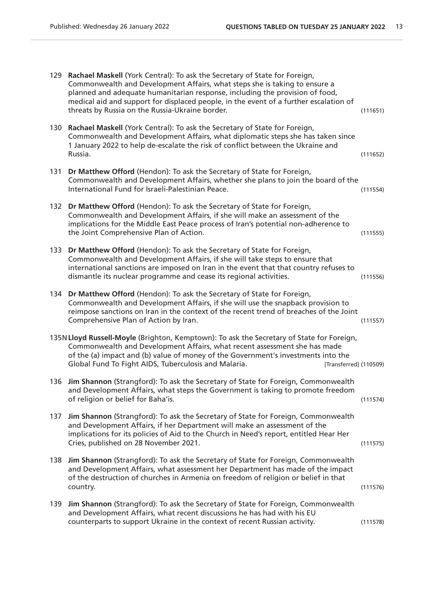|     | 129 Rachael Maskell (York Central): To ask the Secretary of State for Foreign,<br>Commonwealth and Development Affairs, what steps she is taking to ensure a<br>planned and adequate humanitarian response, including the provision of food,<br>medical aid and support for displaced people, in the event of a further escalation of<br>threats by Russia on the Russia-Ukraine border. | (111651) |
|-----|------------------------------------------------------------------------------------------------------------------------------------------------------------------------------------------------------------------------------------------------------------------------------------------------------------------------------------------------------------------------------------------|----------|
|     | 130 Rachael Maskell (York Central): To ask the Secretary of State for Foreign,<br>Commonwealth and Development Affairs, what diplomatic steps she has taken since<br>1 January 2022 to help de-escalate the risk of conflict between the Ukraine and<br>Russia.                                                                                                                          | (111652) |
| 131 | Dr Matthew Offord (Hendon): To ask the Secretary of State for Foreign,<br>Commonwealth and Development Affairs, whether she plans to join the board of the<br>International Fund for Israeli-Palestinian Peace.                                                                                                                                                                          | (111554) |
| 132 | Dr Matthew Offord (Hendon): To ask the Secretary of State for Foreign,<br>Commonwealth and Development Affairs, if she will make an assessment of the<br>implications for the Middle East Peace process of Iran's potential non-adherence to<br>the Joint Comprehensive Plan of Action.                                                                                                  | (111555) |
| 133 | Dr Matthew Offord (Hendon): To ask the Secretary of State for Foreign,<br>Commonwealth and Development Affairs, if she will take steps to ensure that<br>international sanctions are imposed on Iran in the event that that country refuses to<br>dismantle its nuclear programme and cease its regional activities.                                                                     | (111556) |
| 134 | Dr Matthew Offord (Hendon): To ask the Secretary of State for Foreign,<br>Commonwealth and Development Affairs, if she will use the snapback provision to<br>reimpose sanctions on Iran in the context of the recent trend of breaches of the Joint<br>Comprehensive Plan of Action by Iran.                                                                                             | (111557) |
|     | 135N Lloyd Russell-Moyle (Brighton, Kemptown): To ask the Secretary of State for Foreign,<br>Commonwealth and Development Affairs, what recent assessment she has made<br>of the (a) impact and (b) value of money of the Government's investments into the<br>Global Fund To Fight AIDS, Tuberculosis and Malaria.<br>[Transferred] (110509)                                            |          |
| 136 | Jim Shannon (Strangford): To ask the Secretary of State for Foreign, Commonwealth<br>and Development Affairs, what steps the Government is taking to promote freedom<br>of religion or belief for Baha'is.                                                                                                                                                                               | (111574) |
| 137 | Jim Shannon (Strangford): To ask the Secretary of State for Foreign, Commonwealth<br>and Development Affairs, if her Department will make an assessment of the<br>implications for its policies of Aid to the Church in Need's report, entitled Hear Her<br>Cries, published on 28 November 2021.                                                                                        | (111575) |
| 138 | Jim Shannon (Strangford): To ask the Secretary of State for Foreign, Commonwealth<br>and Development Affairs, what assessment her Department has made of the impact<br>of the destruction of churches in Armenia on freedom of religion or belief in that<br>country.                                                                                                                    | (111576) |
| 139 | Jim Shannon (Strangford): To ask the Secretary of State for Foreign, Commonwealth<br>and Development Affairs, what recent discussions he has had with his EU<br>counterparts to support Ukraine in the context of recent Russian activity.                                                                                                                                               | (111578) |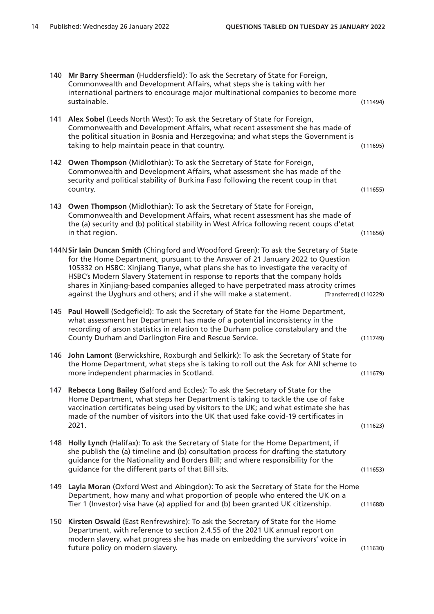| 140 | Mr Barry Sheerman (Huddersfield): To ask the Secretary of State for Foreign,<br>Commonwealth and Development Affairs, what steps she is taking with her<br>international partners to encourage major multinational companies to become more<br>sustainable.                                                                                                                                                                                                                                                                             | (111494) |
|-----|-----------------------------------------------------------------------------------------------------------------------------------------------------------------------------------------------------------------------------------------------------------------------------------------------------------------------------------------------------------------------------------------------------------------------------------------------------------------------------------------------------------------------------------------|----------|
| 141 | Alex Sobel (Leeds North West): To ask the Secretary of State for Foreign,<br>Commonwealth and Development Affairs, what recent assessment she has made of<br>the political situation in Bosnia and Herzegovina; and what steps the Government is<br>taking to help maintain peace in that country.                                                                                                                                                                                                                                      | (111695) |
| 142 | <b>Owen Thompson</b> (Midlothian): To ask the Secretary of State for Foreign,<br>Commonwealth and Development Affairs, what assessment she has made of the<br>security and political stability of Burkina Faso following the recent coup in that<br>country.                                                                                                                                                                                                                                                                            | (111655) |
| 143 | <b>Owen Thompson</b> (Midlothian): To ask the Secretary of State for Foreign,<br>Commonwealth and Development Affairs, what recent assessment has she made of<br>the (a) security and (b) political stability in West Africa following recent coups d'etat<br>in that region.                                                                                                                                                                                                                                                           | (111656) |
|     | 144N Sir lain Duncan Smith (Chingford and Woodford Green): To ask the Secretary of State<br>for the Home Department, pursuant to the Answer of 21 January 2022 to Question<br>105332 on HSBC: Xinjiang Tianye, what plans she has to investigate the veracity of<br>HSBC's Modern Slavery Statement in response to reports that the company holds<br>shares in Xinjiang-based companies alleged to have perpetrated mass atrocity crimes<br>against the Uyghurs and others; and if she will make a statement.<br>[Transferred] (110229) |          |
| 145 | Paul Howell (Sedgefield): To ask the Secretary of State for the Home Department,<br>what assessment her Department has made of a potential inconsistency in the<br>recording of arson statistics in relation to the Durham police constabulary and the<br>County Durham and Darlington Fire and Rescue Service.                                                                                                                                                                                                                         | (111749) |
| 146 | John Lamont (Berwickshire, Roxburgh and Selkirk): To ask the Secretary of State for<br>the Home Department, what steps she is taking to roll out the Ask for ANI scheme to<br>more independent pharmacies in Scotland.                                                                                                                                                                                                                                                                                                                  | (111679) |
| 147 | Rebecca Long Bailey (Salford and Eccles): To ask the Secretary of State for the<br>Home Department, what steps her Department is taking to tackle the use of fake<br>vaccination certificates being used by visitors to the UK; and what estimate she has<br>made of the number of visitors into the UK that used fake covid-19 certificates in<br>2021.                                                                                                                                                                                | (111623) |
| 148 | Holly Lynch (Halifax): To ask the Secretary of State for the Home Department, if<br>she publish the (a) timeline and (b) consultation process for drafting the statutory<br>guidance for the Nationality and Borders Bill; and where responsibility for the<br>guidance for the different parts of that Bill sits.                                                                                                                                                                                                                      | (111653) |
| 149 | Layla Moran (Oxford West and Abingdon): To ask the Secretary of State for the Home<br>Department, how many and what proportion of people who entered the UK on a<br>Tier 1 (Investor) visa have (a) applied for and (b) been granted UK citizenship.                                                                                                                                                                                                                                                                                    | (111688) |
| 150 | Kirsten Oswald (East Renfrewshire): To ask the Secretary of State for the Home<br>Department, with reference to section 2.4.55 of the 2021 UK annual report on<br>modern slavery, what progress she has made on embedding the survivors' voice in<br>future policy on modern slavery.                                                                                                                                                                                                                                                   | (111630) |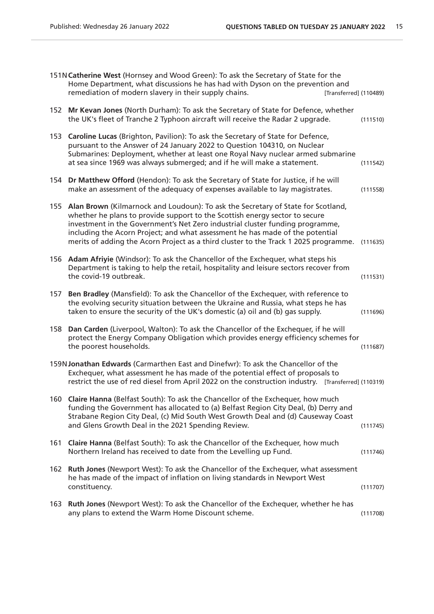|     | 151N Catherine West (Hornsey and Wood Green): To ask the Secretary of State for the<br>Home Department, what discussions he has had with Dyson on the prevention and<br>remediation of modern slavery in their supply chains.<br>[Transferred] (110489)                                                                                                                                                                            |          |
|-----|------------------------------------------------------------------------------------------------------------------------------------------------------------------------------------------------------------------------------------------------------------------------------------------------------------------------------------------------------------------------------------------------------------------------------------|----------|
| 152 | Mr Kevan Jones (North Durham): To ask the Secretary of State for Defence, whether<br>the UK's fleet of Tranche 2 Typhoon aircraft will receive the Radar 2 upgrade.                                                                                                                                                                                                                                                                | (111510) |
| 153 | Caroline Lucas (Brighton, Pavilion): To ask the Secretary of State for Defence,<br>pursuant to the Answer of 24 January 2022 to Question 104310, on Nuclear<br>Submarines: Deployment, whether at least one Royal Navy nuclear armed submarine<br>at sea since 1969 was always submerged; and if he will make a statement.                                                                                                         | (111542) |
| 154 | Dr Matthew Offord (Hendon): To ask the Secretary of State for Justice, if he will<br>make an assessment of the adequacy of expenses available to lay magistrates.                                                                                                                                                                                                                                                                  | (111558) |
| 155 | Alan Brown (Kilmarnock and Loudoun): To ask the Secretary of State for Scotland,<br>whether he plans to provide support to the Scottish energy sector to secure<br>investment in the Government's Net Zero industrial cluster funding programme,<br>including the Acorn Project; and what assessment he has made of the potential<br>merits of adding the Acorn Project as a third cluster to the Track 1 2025 programme. (111635) |          |
| 156 | Adam Afriyie (Windsor): To ask the Chancellor of the Exchequer, what steps his<br>Department is taking to help the retail, hospitality and leisure sectors recover from<br>the covid-19 outbreak.                                                                                                                                                                                                                                  | (111531) |
| 157 | Ben Bradley (Mansfield): To ask the Chancellor of the Exchequer, with reference to<br>the evolving security situation between the Ukraine and Russia, what steps he has<br>taken to ensure the security of the UK's domestic (a) oil and (b) gas supply.                                                                                                                                                                           | (111696) |
| 158 | Dan Carden (Liverpool, Walton): To ask the Chancellor of the Exchequer, if he will<br>protect the Energy Company Obligation which provides energy efficiency schemes for<br>the poorest households.                                                                                                                                                                                                                                | (111687) |
|     | 159N Jonathan Edwards (Carmarthen East and Dinefwr): To ask the Chancellor of the<br>Exchequer, what assessment he has made of the potential effect of proposals to<br>restrict the use of red diesel from April 2022 on the construction industry. [Transferred] (110319)                                                                                                                                                         |          |
|     | 160 Claire Hanna (Belfast South): To ask the Chancellor of the Exchequer, how much<br>funding the Government has allocated to (a) Belfast Region City Deal, (b) Derry and<br>Strabane Region City Deal, (c) Mid South West Growth Deal and (d) Causeway Coast<br>and Glens Growth Deal in the 2021 Spending Review.                                                                                                                | (111745) |
| 161 | Claire Hanna (Belfast South): To ask the Chancellor of the Exchequer, how much<br>Northern Ireland has received to date from the Levelling up Fund.                                                                                                                                                                                                                                                                                | (111746) |
| 162 | Ruth Jones (Newport West): To ask the Chancellor of the Exchequer, what assessment<br>he has made of the impact of inflation on living standards in Newport West<br>constituency.                                                                                                                                                                                                                                                  | (111707) |
| 163 | Ruth Jones (Newport West): To ask the Chancellor of the Exchequer, whether he has<br>any plans to extend the Warm Home Discount scheme.                                                                                                                                                                                                                                                                                            | (111708) |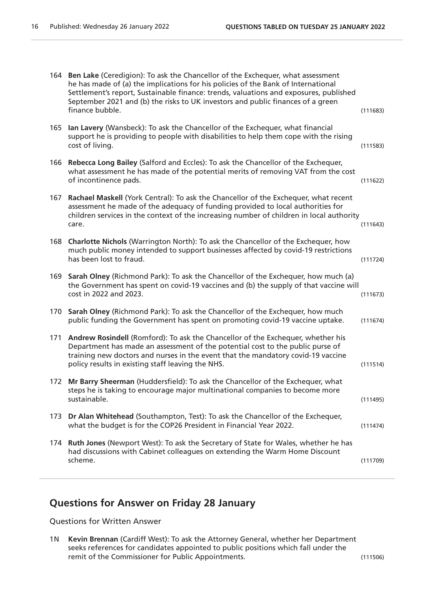|     | 164 Ben Lake (Ceredigion): To ask the Chancellor of the Exchequer, what assessment<br>he has made of (a) the implications for his policies of the Bank of International<br>Settlement's report, Sustainable finance: trends, valuations and exposures, published<br>September 2021 and (b) the risks to UK investors and public finances of a green<br>finance bubble. | (111683) |
|-----|------------------------------------------------------------------------------------------------------------------------------------------------------------------------------------------------------------------------------------------------------------------------------------------------------------------------------------------------------------------------|----------|
| 165 | Ian Lavery (Wansbeck): To ask the Chancellor of the Exchequer, what financial<br>support he is providing to people with disabilities to help them cope with the rising<br>cost of living.                                                                                                                                                                              | (111583) |
| 166 | Rebecca Long Bailey (Salford and Eccles): To ask the Chancellor of the Exchequer,<br>what assessment he has made of the potential merits of removing VAT from the cost<br>of incontinence pads.                                                                                                                                                                        | (111622) |
| 167 | Rachael Maskell (York Central): To ask the Chancellor of the Exchequer, what recent<br>assessment he made of the adequacy of funding provided to local authorities for<br>children services in the context of the increasing number of children in local authority<br>care.                                                                                            | (111643) |
| 168 | Charlotte Nichols (Warrington North): To ask the Chancellor of the Exchequer, how<br>much public money intended to support businesses affected by covid-19 restrictions<br>has been lost to fraud.                                                                                                                                                                     | (111724) |
| 169 | Sarah Olney (Richmond Park): To ask the Chancellor of the Exchequer, how much (a)<br>the Government has spent on covid-19 vaccines and (b) the supply of that vaccine will<br>cost in 2022 and 2023.                                                                                                                                                                   | (111673) |
| 170 | Sarah Olney (Richmond Park): To ask the Chancellor of the Exchequer, how much<br>public funding the Government has spent on promoting covid-19 vaccine uptake.                                                                                                                                                                                                         | (111674) |
| 171 | Andrew Rosindell (Romford): To ask the Chancellor of the Exchequer, whether his<br>Department has made an assessment of the potential cost to the public purse of<br>training new doctors and nurses in the event that the mandatory covid-19 vaccine<br>policy results in existing staff leaving the NHS.                                                             | (111514) |
| 172 | Mr Barry Sheerman (Huddersfield): To ask the Chancellor of the Exchequer, what<br>steps he is taking to encourage major multinational companies to become more<br>sustainable.                                                                                                                                                                                         | (111495) |
| 173 | Dr Alan Whitehead (Southampton, Test): To ask the Chancellor of the Exchequer,<br>what the budget is for the COP26 President in Financial Year 2022.                                                                                                                                                                                                                   | (111474) |
| 174 | Ruth Jones (Newport West): To ask the Secretary of State for Wales, whether he has<br>had discussions with Cabinet colleagues on extending the Warm Home Discount<br>scheme.                                                                                                                                                                                           | (111709) |

## **Questions for Answer on Friday 28 January**

Questions for Written Answer

1N **Kevin Brennan** (Cardiff West): To ask the Attorney General, whether her Department seeks references for candidates appointed to public positions which fall under the remit of the Commissioner for Public Appointments. (111506)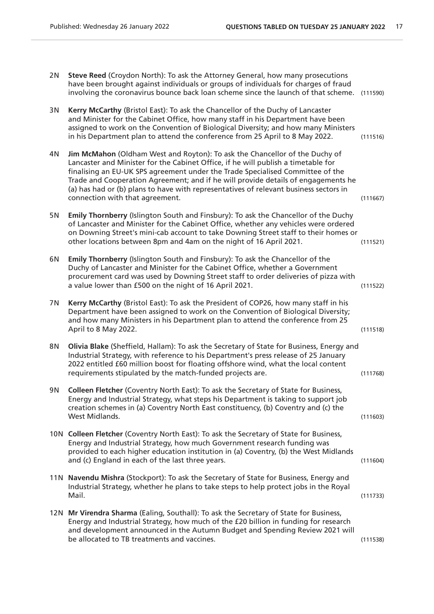| 2N | Steve Reed (Croydon North): To ask the Attorney General, how many prosecutions<br>have been brought against individuals or groups of individuals for charges of fraud<br>involving the coronavirus bounce back loan scheme since the launch of that scheme. (111590)                                                                                                                                                                                                |          |
|----|---------------------------------------------------------------------------------------------------------------------------------------------------------------------------------------------------------------------------------------------------------------------------------------------------------------------------------------------------------------------------------------------------------------------------------------------------------------------|----------|
| 3N | Kerry McCarthy (Bristol East): To ask the Chancellor of the Duchy of Lancaster<br>and Minister for the Cabinet Office, how many staff in his Department have been<br>assigned to work on the Convention of Biological Diversity; and how many Ministers<br>in his Department plan to attend the conference from 25 April to 8 May 2022.                                                                                                                             | (111516) |
| 4N | Jim McMahon (Oldham West and Royton): To ask the Chancellor of the Duchy of<br>Lancaster and Minister for the Cabinet Office, if he will publish a timetable for<br>finalising an EU-UK SPS agreement under the Trade Specialised Committee of the<br>Trade and Cooperation Agreement; and if he will provide details of engagements he<br>(a) has had or (b) plans to have with representatives of relevant business sectors in<br>connection with that agreement. | (111667) |
| 5N | Emily Thornberry (Islington South and Finsbury): To ask the Chancellor of the Duchy<br>of Lancaster and Minister for the Cabinet Office, whether any vehicles were ordered<br>on Downing Street's mini-cab account to take Downing Street staff to their homes or<br>other locations between 8pm and 4am on the night of 16 April 2021.                                                                                                                             | (111521) |
| 6N | Emily Thornberry (Islington South and Finsbury): To ask the Chancellor of the<br>Duchy of Lancaster and Minister for the Cabinet Office, whether a Government<br>procurement card was used by Downing Street staff to order deliveries of pizza with<br>a value lower than £500 on the night of 16 April 2021.                                                                                                                                                      | (111522) |
| 7N | Kerry McCarthy (Bristol East): To ask the President of COP26, how many staff in his<br>Department have been assigned to work on the Convention of Biological Diversity;<br>and how many Ministers in his Department plan to attend the conference from 25<br>April to 8 May 2022.                                                                                                                                                                                   | (111518) |
| 8N | Olivia Blake (Sheffield, Hallam): To ask the Secretary of State for Business, Energy and<br>Industrial Strategy, with reference to his Department's press release of 25 January<br>2022 entitled £60 million boost for floating offshore wind, what the local content<br>requirements stipulated by the match-funded projects are.                                                                                                                                  | (111768) |
| 9N | Colleen Fletcher (Coventry North East): To ask the Secretary of State for Business,<br>Energy and Industrial Strategy, what steps his Department is taking to support job<br>creation schemes in (a) Coventry North East constituency, (b) Coventry and (c) the<br>West Midlands.                                                                                                                                                                                   | (111603) |
|    | 10N Colleen Fletcher (Coventry North East): To ask the Secretary of State for Business,<br>Energy and Industrial Strategy, how much Government research funding was<br>provided to each higher education institution in (a) Coventry, (b) the West Midlands<br>and (c) England in each of the last three years.                                                                                                                                                     | (111604) |
|    | 11N Navendu Mishra (Stockport): To ask the Secretary of State for Business, Energy and<br>Industrial Strategy, whether he plans to take steps to help protect jobs in the Royal<br>Mail.                                                                                                                                                                                                                                                                            | (111733) |
|    | 12N Mr Virendra Sharma (Ealing, Southall): To ask the Secretary of State for Business,<br>Energy and Industrial Strategy, how much of the £20 billion in funding for research<br>and development announced in the Autumn Budget and Spending Review 2021 will<br>be allocated to TB treatments and vaccines.                                                                                                                                                        | (111538) |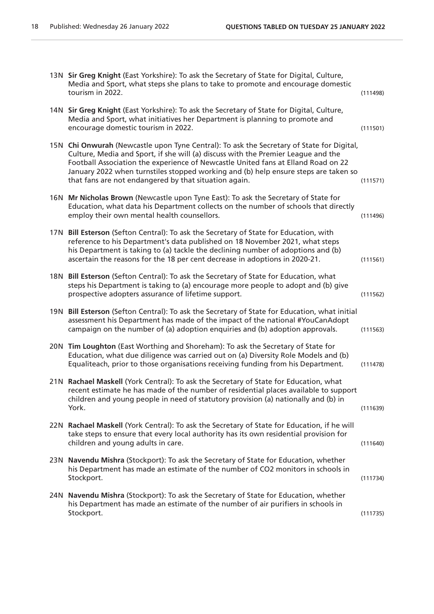| 13N Sir Greg Knight (East Yorkshire): To ask the Secretary of State for Digital, Culture,<br>Media and Sport, what steps she plans to take to promote and encourage domestic<br>tourism in 2022.                                                                                                                                                                                                                    | (111498) |
|---------------------------------------------------------------------------------------------------------------------------------------------------------------------------------------------------------------------------------------------------------------------------------------------------------------------------------------------------------------------------------------------------------------------|----------|
| 14N Sir Greg Knight (East Yorkshire): To ask the Secretary of State for Digital, Culture,<br>Media and Sport, what initiatives her Department is planning to promote and<br>encourage domestic tourism in 2022.                                                                                                                                                                                                     | (111501) |
| 15N Chi Onwurah (Newcastle upon Tyne Central): To ask the Secretary of State for Digital,<br>Culture, Media and Sport, if she will (a) discuss with the Premier League and the<br>Football Association the experience of Newcastle United fans at Elland Road on 22<br>January 2022 when turnstiles stopped working and (b) help ensure steps are taken so<br>that fans are not endangered by that situation again. | (111571) |
| 16N Mr Nicholas Brown (Newcastle upon Tyne East): To ask the Secretary of State for<br>Education, what data his Department collects on the number of schools that directly<br>employ their own mental health counsellors.                                                                                                                                                                                           | (111496) |
| 17N Bill Esterson (Sefton Central): To ask the Secretary of State for Education, with<br>reference to his Department's data published on 18 November 2021, what steps<br>his Department is taking to (a) tackle the declining number of adoptions and (b)<br>ascertain the reasons for the 18 per cent decrease in adoptions in 2020-21.                                                                            | (111561) |
| 18N Bill Esterson (Sefton Central): To ask the Secretary of State for Education, what<br>steps his Department is taking to (a) encourage more people to adopt and (b) give<br>prospective adopters assurance of lifetime support.                                                                                                                                                                                   | (111562) |
| 19N Bill Esterson (Sefton Central): To ask the Secretary of State for Education, what initial<br>assessment his Department has made of the impact of the national #YouCanAdopt<br>campaign on the number of (a) adoption enquiries and (b) adoption approvals.                                                                                                                                                      | (111563) |
| 20N Tim Loughton (East Worthing and Shoreham): To ask the Secretary of State for<br>Education, what due diligence was carried out on (a) Diversity Role Models and (b)<br>Equaliteach, prior to those organisations receiving funding from his Department.                                                                                                                                                          | (111478) |
| 21N Rachael Maskell (York Central): To ask the Secretary of State for Education, what<br>recent estimate he has made of the number of residential places available to support<br>children and young people in need of statutory provision (a) nationally and (b) in<br>York.                                                                                                                                        | (111639) |
| 22N Rachael Maskell (York Central): To ask the Secretary of State for Education, if he will<br>take steps to ensure that every local authority has its own residential provision for<br>children and young adults in care.                                                                                                                                                                                          | (111640) |
| 23N Navendu Mishra (Stockport): To ask the Secretary of State for Education, whether<br>his Department has made an estimate of the number of CO2 monitors in schools in<br>Stockport.                                                                                                                                                                                                                               | (111734) |
| 24N Navendu Mishra (Stockport): To ask the Secretary of State for Education, whether<br>his Department has made an estimate of the number of air purifiers in schools in<br>Stockport.                                                                                                                                                                                                                              | (111735) |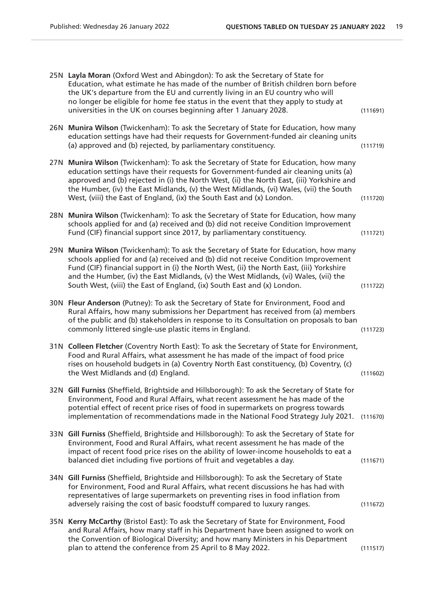| 25N Layla Moran (Oxford West and Abingdon): To ask the Secretary of State for<br>Education, what estimate he has made of the number of British children born before<br>the UK's departure from the EU and currently living in an EU country who will<br>no longer be eligible for home fee status in the event that they apply to study at<br>universities in the UK on courses beginning after 1 January 2028.                              | (111691) |
|----------------------------------------------------------------------------------------------------------------------------------------------------------------------------------------------------------------------------------------------------------------------------------------------------------------------------------------------------------------------------------------------------------------------------------------------|----------|
| 26N Munira Wilson (Twickenham): To ask the Secretary of State for Education, how many<br>education settings have had their requests for Government-funded air cleaning units<br>(a) approved and (b) rejected, by parliamentary constituency.                                                                                                                                                                                                | (111719) |
| 27N Munira Wilson (Twickenham): To ask the Secretary of State for Education, how many<br>education settings have their requests for Government-funded air cleaning units (a)<br>approved and (b) rejected in (i) the North West, (ii) the North East, (iii) Yorkshire and<br>the Humber, (iv) the East Midlands, (v) the West Midlands, (vi) Wales, (vii) the South<br>West, (viii) the East of England, (ix) the South East and (x) London. | (111720) |
| 28N Munira Wilson (Twickenham): To ask the Secretary of State for Education, how many<br>schools applied for and (a) received and (b) did not receive Condition Improvement<br>Fund (CIF) financial support since 2017, by parliamentary constituency.                                                                                                                                                                                       | (111721) |
| 29N Munira Wilson (Twickenham): To ask the Secretary of State for Education, how many<br>schools applied for and (a) received and (b) did not receive Condition Improvement<br>Fund (CIF) financial support in (i) the North West, (ii) the North East, (iii) Yorkshire<br>and the Humber, (iv) the East Midlands, (v) the West Midlands, (vi) Wales, (vii) the<br>South West, (viii) the East of England, (ix) South East and (x) London.   | (111722) |
| 30N Fleur Anderson (Putney): To ask the Secretary of State for Environment, Food and<br>Rural Affairs, how many submissions her Department has received from (a) members<br>of the public and (b) stakeholders in response to its Consultation on proposals to ban<br>commonly littered single-use plastic items in England.                                                                                                                 | (111723) |
| 31N Colleen Fletcher (Coventry North East): To ask the Secretary of State for Environment,<br>Food and Rural Affairs, what assessment he has made of the impact of food price<br>rises on household budgets in (a) Coventry North East constituency, (b) Coventry, (c)<br>the West Midlands and (d) England.                                                                                                                                 | (111602) |
| 32N Gill Furniss (Sheffield, Brightside and Hillsborough): To ask the Secretary of State for<br>Environment, Food and Rural Affairs, what recent assessment he has made of the<br>potential effect of recent price rises of food in supermarkets on progress towards<br>implementation of recommendations made in the National Food Strategy July 2021.                                                                                      | (111670) |
| 33N Gill Furniss (Sheffield, Brightside and Hillsborough): To ask the Secretary of State for<br>Environment, Food and Rural Affairs, what recent assessment he has made of the<br>impact of recent food price rises on the ability of lower-income households to eat a<br>balanced diet including five portions of fruit and vegetables a day.                                                                                               | (111671) |
| 34N Gill Furniss (Sheffield, Brightside and Hillsborough): To ask the Secretary of State<br>for Environment, Food and Rural Affairs, what recent discussions he has had with<br>representatives of large supermarkets on preventing rises in food inflation from<br>adversely raising the cost of basic foodstuff compared to luxury ranges.                                                                                                 | (111672) |
| 35N Kerry McCarthy (Bristol East): To ask the Secretary of State for Environment, Food<br>and Rural Affairs, how many staff in his Department have been assigned to work on<br>the Convention of Biological Diversity; and how many Ministers in his Department<br>plan to attend the conference from 25 April to 8 May 2022.                                                                                                                | (111517) |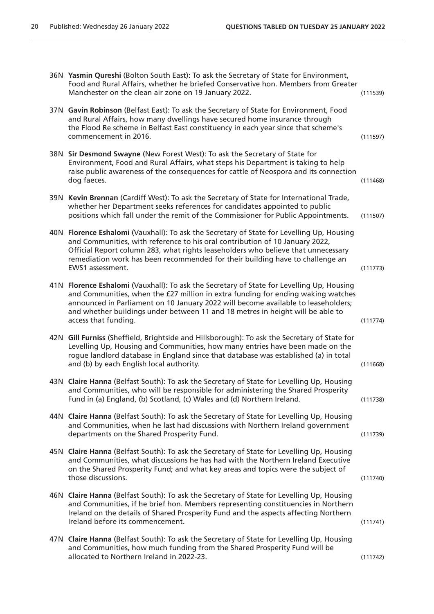|      | 36N Yasmin Qureshi (Bolton South East): To ask the Secretary of State for Environment,<br>Food and Rural Affairs, whether he briefed Conservative hon. Members from Greater<br>Manchester on the clean air zone on 19 January 2022.                                                                                                                                      | (111539) |
|------|--------------------------------------------------------------------------------------------------------------------------------------------------------------------------------------------------------------------------------------------------------------------------------------------------------------------------------------------------------------------------|----------|
|      | 37N Gavin Robinson (Belfast East): To ask the Secretary of State for Environment, Food<br>and Rural Affairs, how many dwellings have secured home insurance through<br>the Flood Re scheme in Belfast East constituency in each year since that scheme's<br>commencement in 2016.                                                                                        | (111597) |
|      | 38N Sir Desmond Swayne (New Forest West): To ask the Secretary of State for<br>Environment, Food and Rural Affairs, what steps his Department is taking to help<br>raise public awareness of the consequences for cattle of Neospora and its connection<br>dog faeces.                                                                                                   | (111468) |
|      | 39N Kevin Brennan (Cardiff West): To ask the Secretary of State for International Trade,<br>whether her Department seeks references for candidates appointed to public<br>positions which fall under the remit of the Commissioner for Public Appointments.                                                                                                              | (111507) |
| 40N  | Florence Eshalomi (Vauxhall): To ask the Secretary of State for Levelling Up, Housing<br>and Communities, with reference to his oral contribution of 10 January 2022,<br>Official Report column 283, what rights leaseholders who believe that unnecessary<br>remediation work has been recommended for their building have to challenge an<br>EWS1 assessment.          | (111773) |
| 41 N | Florence Eshalomi (Vauxhall): To ask the Secretary of State for Levelling Up, Housing<br>and Communities, when the £27 million in extra funding for ending waking watches<br>announced in Parliament on 10 January 2022 will become available to leaseholders;<br>and whether buildings under between 11 and 18 metres in height will be able to<br>access that funding. | (111774) |
|      | 42N Gill Furniss (Sheffield, Brightside and Hillsborough): To ask the Secretary of State for<br>Levelling Up, Housing and Communities, how many entries have been made on the<br>rogue landlord database in England since that database was established (a) in total<br>and (b) by each English local authority.                                                         | (111668) |
|      | 43N Claire Hanna (Belfast South): To ask the Secretary of State for Levelling Up, Housing<br>and Communities, who will be responsible for administering the Shared Prosperity<br>Fund in (a) England, (b) Scotland, (c) Wales and (d) Northern Ireland.                                                                                                                  | (111738) |
|      | 44N Claire Hanna (Belfast South): To ask the Secretary of State for Levelling Up, Housing<br>and Communities, when he last had discussions with Northern Ireland government<br>departments on the Shared Prosperity Fund.                                                                                                                                                | (111739) |
|      | 45N Claire Hanna (Belfast South): To ask the Secretary of State for Levelling Up, Housing<br>and Communities, what discussions he has had with the Northern Ireland Executive<br>on the Shared Prosperity Fund; and what key areas and topics were the subject of<br>those discussions.                                                                                  | (111740) |
|      | 46N Claire Hanna (Belfast South): To ask the Secretary of State for Levelling Up, Housing<br>and Communities, if he brief hon. Members representing constituencies in Northern<br>Ireland on the details of Shared Prosperity Fund and the aspects affecting Northern<br>Ireland before its commencement.                                                                | (111741) |
|      | 47N Claire Hanna (Belfast South): To ask the Secretary of State for Levelling Up, Housing<br>and Communities, how much funding from the Shared Prosperity Fund will be<br>allocated to Northern Ireland in 2022-23.                                                                                                                                                      | (111742) |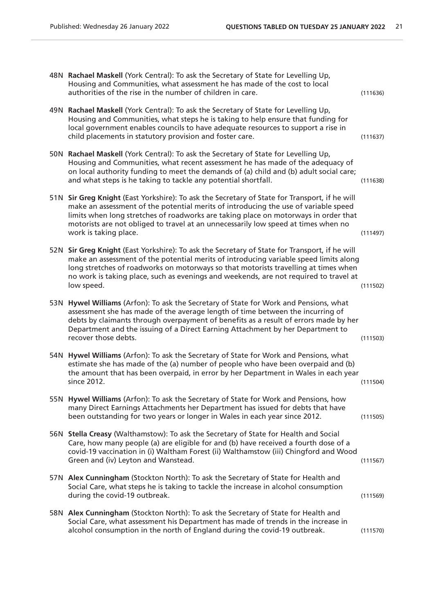|      | 48N Rachael Maskell (York Central): To ask the Secretary of State for Levelling Up,<br>Housing and Communities, what assessment he has made of the cost to local<br>authorities of the rise in the number of children in care.                                                                                                                                                         | (111636) |
|------|----------------------------------------------------------------------------------------------------------------------------------------------------------------------------------------------------------------------------------------------------------------------------------------------------------------------------------------------------------------------------------------|----------|
| 49 N | Rachael Maskell (York Central): To ask the Secretary of State for Levelling Up,<br>Housing and Communities, what steps he is taking to help ensure that funding for<br>local government enables councils to have adequate resources to support a rise in<br>child placements in statutory provision and foster care.                                                                   | (111637) |
| 50N  | Rachael Maskell (York Central): To ask the Secretary of State for Levelling Up,<br>Housing and Communities, what recent assessment he has made of the adequacy of<br>on local authority funding to meet the demands of (a) child and (b) adult social care;<br>and what steps is he taking to tackle any potential shortfall.                                                          | (111638) |
| 51 N | Sir Greg Knight (East Yorkshire): To ask the Secretary of State for Transport, if he will<br>make an assessment of the potential merits of introducing the use of variable speed<br>limits when long stretches of roadworks are taking place on motorways in order that<br>motorists are not obliged to travel at an unnecessarily low speed at times when no<br>work is taking place. | (111497) |
| 52N  | Sir Greg Knight (East Yorkshire): To ask the Secretary of State for Transport, if he will<br>make an assessment of the potential merits of introducing variable speed limits along<br>long stretches of roadworks on motorways so that motorists travelling at times when<br>no work is taking place, such as evenings and weekends, are not required to travel at<br>low speed.       | (111502) |
| 53 N | Hywel Williams (Arfon): To ask the Secretary of State for Work and Pensions, what<br>assessment she has made of the average length of time between the incurring of<br>debts by claimants through overpayment of benefits as a result of errors made by her<br>Department and the issuing of a Direct Earning Attachment by her Department to<br>recover those debts.                  | (111503) |
|      | 54N Hywel Williams (Arfon): To ask the Secretary of State for Work and Pensions, what<br>estimate she has made of the (a) number of people who have been overpaid and (b)<br>the amount that has been overpaid, in error by her Department in Wales in each year<br>since 2012.                                                                                                        | (111504) |
|      | 55N Hywel Williams (Arfon): To ask the Secretary of State for Work and Pensions, how<br>many Direct Earnings Attachments her Department has issued for debts that have<br>been outstanding for two years or longer in Wales in each year since 2012.                                                                                                                                   | (111505) |
|      | 56N Stella Creasy (Walthamstow): To ask the Secretary of State for Health and Social<br>Care, how many people (a) are eligible for and (b) have received a fourth dose of a<br>covid-19 vaccination in (i) Waltham Forest (ii) Walthamstow (iii) Chingford and Wood<br>Green and (iv) Leyton and Wanstead.                                                                             | (111567) |
|      | 57N Alex Cunningham (Stockton North): To ask the Secretary of State for Health and<br>Social Care, what steps he is taking to tackle the increase in alcohol consumption<br>during the covid-19 outbreak.                                                                                                                                                                              | (111569) |
|      | 58N Alex Cunningham (Stockton North): To ask the Secretary of State for Health and<br>Social Care, what assessment his Department has made of trends in the increase in<br>alcohol consumption in the north of England during the covid-19 outbreak.                                                                                                                                   | (111570) |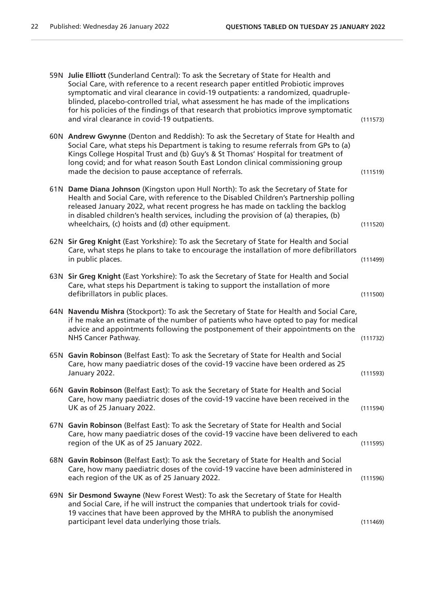| 59N Julie Elliott (Sunderland Central): To ask the Secretary of State for Health and<br>Social Care, with reference to a recent research paper entitled Probiotic improves<br>symptomatic and viral clearance in covid-19 outpatients: a randomized, quadruple-<br>blinded, placebo-controlled trial, what assessment he has made of the implications<br>for his policies of the findings of that research that probiotics improve symptomatic<br>and viral clearance in covid-19 outpatients. | (111573) |
|------------------------------------------------------------------------------------------------------------------------------------------------------------------------------------------------------------------------------------------------------------------------------------------------------------------------------------------------------------------------------------------------------------------------------------------------------------------------------------------------|----------|
| 60N Andrew Gwynne (Denton and Reddish): To ask the Secretary of State for Health and<br>Social Care, what steps his Department is taking to resume referrals from GPs to (a)<br>Kings College Hospital Trust and (b) Guy's & St Thomas' Hospital for treatment of<br>long covid; and for what reason South East London clinical commissioning group<br>made the decision to pause acceptance of referrals.                                                                                     | (111519) |
| 61N Dame Diana Johnson (Kingston upon Hull North): To ask the Secretary of State for<br>Health and Social Care, with reference to the Disabled Children's Partnership polling<br>released January 2022, what recent progress he has made on tackling the backlog<br>in disabled children's health services, including the provision of (a) therapies, (b)<br>wheelchairs, (c) hoists and (d) other equipment.                                                                                  | (111520) |
| 62N Sir Greg Knight (East Yorkshire): To ask the Secretary of State for Health and Social<br>Care, what steps he plans to take to encourage the installation of more defibrillators<br>in public places.                                                                                                                                                                                                                                                                                       | (111499) |
| 63N Sir Greg Knight (East Yorkshire): To ask the Secretary of State for Health and Social<br>Care, what steps his Department is taking to support the installation of more<br>defibrillators in public places.                                                                                                                                                                                                                                                                                 | (111500) |
| 64N Navendu Mishra (Stockport): To ask the Secretary of State for Health and Social Care,<br>if he make an estimate of the number of patients who have opted to pay for medical<br>advice and appointments following the postponement of their appointments on the<br>NHS Cancer Pathway.                                                                                                                                                                                                      | (111732) |
| 65N Gavin Robinson (Belfast East): To ask the Secretary of State for Health and Social<br>Care, how many paediatric doses of the covid-19 vaccine have been ordered as 25<br>January 2022.                                                                                                                                                                                                                                                                                                     | (111593) |
| 66N Gavin Robinson (Belfast East): To ask the Secretary of State for Health and Social<br>Care, how many paediatric doses of the covid-19 vaccine have been received in the<br>UK as of 25 January 2022.                                                                                                                                                                                                                                                                                       | (111594) |
| 67N Gavin Robinson (Belfast East): To ask the Secretary of State for Health and Social<br>Care, how many paediatric doses of the covid-19 vaccine have been delivered to each<br>region of the UK as of 25 January 2022.                                                                                                                                                                                                                                                                       | (111595) |
| 68N Gavin Robinson (Belfast East): To ask the Secretary of State for Health and Social<br>Care, how many paediatric doses of the covid-19 vaccine have been administered in<br>each region of the UK as of 25 January 2022.                                                                                                                                                                                                                                                                    | (111596) |
| 69N Sir Desmond Swayne (New Forest West): To ask the Secretary of State for Health<br>and Social Care, if he will instruct the companies that undertook trials for covid-<br>19 vaccines that have been approved by the MHRA to publish the anonymised<br>participant level data underlying those trials.                                                                                                                                                                                      | (111469) |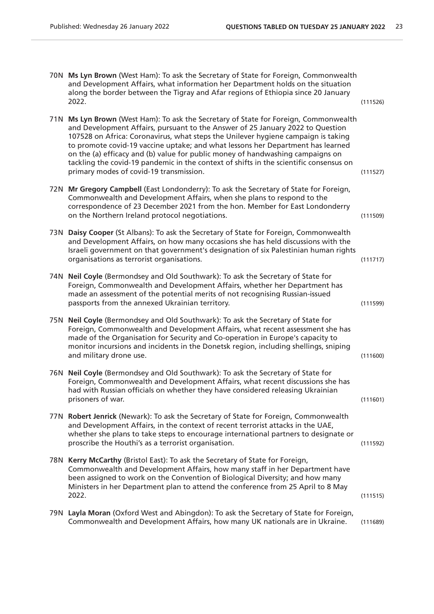|      | 70N Ms Lyn Brown (West Ham): To ask the Secretary of State for Foreign, Commonwealth<br>and Development Affairs, what information her Department holds on the situation<br>along the border between the Tigray and Afar regions of Ethiopia since 20 January<br>2022.                                                                                                                                                                                                                                                                                             | (111526) |
|------|-------------------------------------------------------------------------------------------------------------------------------------------------------------------------------------------------------------------------------------------------------------------------------------------------------------------------------------------------------------------------------------------------------------------------------------------------------------------------------------------------------------------------------------------------------------------|----------|
| 71 N | Ms Lyn Brown (West Ham): To ask the Secretary of State for Foreign, Commonwealth<br>and Development Affairs, pursuant to the Answer of 25 January 2022 to Question<br>107528 on Africa: Coronavirus, what steps the Unilever hygiene campaign is taking<br>to promote covid-19 vaccine uptake; and what lessons her Department has learned<br>on the (a) efficacy and (b) value for public money of handwashing campaigns on<br>tackling the covid-19 pandemic in the context of shifts in the scientific consensus on<br>primary modes of covid-19 transmission. | (111527) |
|      | 72N Mr Gregory Campbell (East Londonderry): To ask the Secretary of State for Foreign,<br>Commonwealth and Development Affairs, when she plans to respond to the<br>correspondence of 23 December 2021 from the hon. Member for East Londonderry<br>on the Northern Ireland protocol negotiations.                                                                                                                                                                                                                                                                | (111509) |
|      | 73N Daisy Cooper (St Albans): To ask the Secretary of State for Foreign, Commonwealth<br>and Development Affairs, on how many occasions she has held discussions with the<br>Israeli government on that government's designation of six Palestinian human rights<br>organisations as terrorist organisations.                                                                                                                                                                                                                                                     | (111717) |
|      | 74N Neil Coyle (Bermondsey and Old Southwark): To ask the Secretary of State for<br>Foreign, Commonwealth and Development Affairs, whether her Department has<br>made an assessment of the potential merits of not recognising Russian-issued<br>passports from the annexed Ukrainian territory.                                                                                                                                                                                                                                                                  | (111599) |
|      | 75N Neil Coyle (Bermondsey and Old Southwark): To ask the Secretary of State for<br>Foreign, Commonwealth and Development Affairs, what recent assessment she has<br>made of the Organisation for Security and Co-operation in Europe's capacity to<br>monitor incursions and incidents in the Donetsk region, including shellings, sniping<br>and military drone use.                                                                                                                                                                                            | (111600) |
|      | 76N Neil Coyle (Bermondsey and Old Southwark): To ask the Secretary of State for<br>Foreign, Commonwealth and Development Affairs, what recent discussions she has<br>had with Russian officials on whether they have considered releasing Ukrainian<br>prisoners of war.                                                                                                                                                                                                                                                                                         | (111601) |
|      | 77N Robert Jenrick (Newark): To ask the Secretary of State for Foreign, Commonwealth<br>and Development Affairs, in the context of recent terrorist attacks in the UAE,<br>whether she plans to take steps to encourage international partners to designate or<br>proscribe the Houthi's as a terrorist organisation.                                                                                                                                                                                                                                             | (111592) |
|      | 78N Kerry McCarthy (Bristol East): To ask the Secretary of State for Foreign,<br>Commonwealth and Development Affairs, how many staff in her Department have<br>been assigned to work on the Convention of Biological Diversity; and how many<br>Ministers in her Department plan to attend the conference from 25 April to 8 May<br>2022.                                                                                                                                                                                                                        | (111515) |
|      | 79N Layla Moran (Oxford West and Abingdon): To ask the Secretary of State for Foreign,<br>Commonwealth and Development Affairs, how many UK nationals are in Ukraine.                                                                                                                                                                                                                                                                                                                                                                                             | (111689) |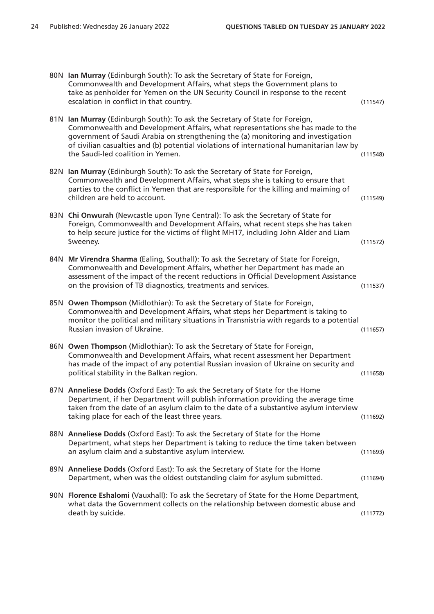| 80N Ian Murray (Edinburgh South): To ask the Secretary of State for Foreign,<br>Commonwealth and Development Affairs, what steps the Government plans to<br>take as penholder for Yemen on the UN Security Council in response to the recent<br>escalation in conflict in that country.                                                                                             | (111547) |
|-------------------------------------------------------------------------------------------------------------------------------------------------------------------------------------------------------------------------------------------------------------------------------------------------------------------------------------------------------------------------------------|----------|
| 81N Ian Murray (Edinburgh South): To ask the Secretary of State for Foreign,<br>Commonwealth and Development Affairs, what representations she has made to the<br>government of Saudi Arabia on strengthening the (a) monitoring and investigation<br>of civilian casualties and (b) potential violations of international humanitarian law by<br>the Saudi-led coalition in Yemen. | (111548) |
| 82N Ian Murray (Edinburgh South): To ask the Secretary of State for Foreign,<br>Commonwealth and Development Affairs, what steps she is taking to ensure that<br>parties to the conflict in Yemen that are responsible for the killing and maiming of<br>children are held to account.                                                                                              | (111549) |
| 83N Chi Onwurah (Newcastle upon Tyne Central): To ask the Secretary of State for<br>Foreign, Commonwealth and Development Affairs, what recent steps she has taken<br>to help secure justice for the victims of flight MH17, including John Alder and Liam<br>Sweeney.                                                                                                              | (111572) |
| 84N Mr Virendra Sharma (Ealing, Southall): To ask the Secretary of State for Foreign,<br>Commonwealth and Development Affairs, whether her Department has made an<br>assessment of the impact of the recent reductions in Official Development Assistance<br>on the provision of TB diagnostics, treatments and services.                                                           | (111537) |
| 85N Owen Thompson (Midlothian): To ask the Secretary of State for Foreign,<br>Commonwealth and Development Affairs, what steps her Department is taking to<br>monitor the political and military situations in Transnistria with regards to a potential<br>Russian invasion of Ukraine.                                                                                             | (111657) |
| 86N Owen Thompson (Midlothian): To ask the Secretary of State for Foreign,<br>Commonwealth and Development Affairs, what recent assessment her Department<br>has made of the impact of any potential Russian invasion of Ukraine on security and<br>political stability in the Balkan region.                                                                                       | (111658) |
| 87N Anneliese Dodds (Oxford East): To ask the Secretary of State for the Home<br>Department, if her Department will publish information providing the average time<br>taken from the date of an asylum claim to the date of a substantive asylum interview<br>taking place for each of the least three years.                                                                       | (111692) |
| 88N Anneliese Dodds (Oxford East): To ask the Secretary of State for the Home<br>Department, what steps her Department is taking to reduce the time taken between<br>an asylum claim and a substantive asylum interview.                                                                                                                                                            | (111693) |
| 89N Anneliese Dodds (Oxford East): To ask the Secretary of State for the Home<br>Department, when was the oldest outstanding claim for asylum submitted.                                                                                                                                                                                                                            | (111694) |
| 90N Florence Eshalomi (Vauxhall): To ask the Secretary of State for the Home Department,<br>what data the Government collects on the relationship between domestic abuse and<br>death by suicide.                                                                                                                                                                                   | (111772) |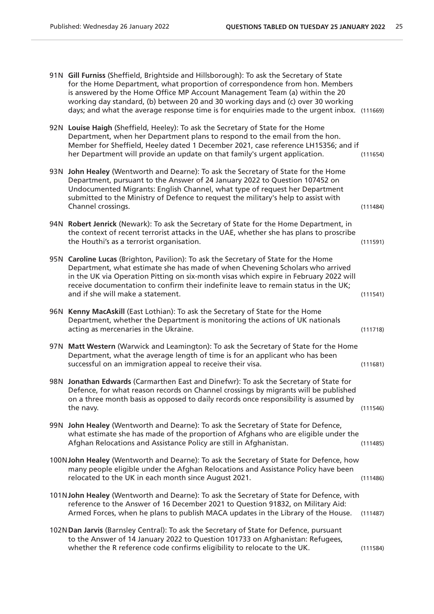|     | 91N Gill Furniss (Sheffield, Brightside and Hillsborough): To ask the Secretary of State<br>for the Home Department, what proportion of correspondence from hon. Members<br>is answered by the Home Office MP Account Management Team (a) within the 20<br>working day standard, (b) between 20 and 30 working days and (c) over 30 working<br>days; and what the average response time is for enquiries made to the urgent inbox. (111669) |          |
|-----|---------------------------------------------------------------------------------------------------------------------------------------------------------------------------------------------------------------------------------------------------------------------------------------------------------------------------------------------------------------------------------------------------------------------------------------------|----------|
|     | 92N Louise Haigh (Sheffield, Heeley): To ask the Secretary of State for the Home<br>Department, when her Department plans to respond to the email from the hon.<br>Member for Sheffield, Heeley dated 1 December 2021, case reference LH15356; and if<br>her Department will provide an update on that family's urgent application.                                                                                                         | (111654) |
| 93N | John Healey (Wentworth and Dearne): To ask the Secretary of State for the Home<br>Department, pursuant to the Answer of 24 January 2022 to Question 107452 on<br>Undocumented Migrants: English Channel, what type of request her Department<br>submitted to the Ministry of Defence to request the military's help to assist with<br>Channel crossings.                                                                                    | (111484) |
|     | 94N Robert Jenrick (Newark): To ask the Secretary of State for the Home Department, in<br>the context of recent terrorist attacks in the UAE, whether she has plans to proscribe<br>the Houthi's as a terrorist organisation.                                                                                                                                                                                                               | (111591) |
|     | 95N Caroline Lucas (Brighton, Pavilion): To ask the Secretary of State for the Home<br>Department, what estimate she has made of when Chevening Scholars who arrived<br>in the UK via Operation Pitting on six-month visas which expire in February 2022 will<br>receive documentation to confirm their indefinite leave to remain status in the UK;<br>and if she will make a statement.                                                   | (111541) |
|     | 96N Kenny MacAskill (East Lothian): To ask the Secretary of State for the Home<br>Department, whether the Department is monitoring the actions of UK nationals<br>acting as mercenaries in the Ukraine.                                                                                                                                                                                                                                     | (111718) |
|     | 97N Matt Western (Warwick and Leamington): To ask the Secretary of State for the Home<br>Department, what the average length of time is for an applicant who has been<br>successful on an immigration appeal to receive their visa.                                                                                                                                                                                                         | (111681) |
| 98N | Jonathan Edwards (Carmarthen East and Dinefwr): To ask the Secretary of State for<br>Defence, for what reason records on Channel crossings by migrants will be published<br>on a three month basis as opposed to daily records once responsibility is assumed by<br>the navy.                                                                                                                                                               | (111546) |
|     | 99N John Healey (Wentworth and Dearne): To ask the Secretary of State for Defence,<br>what estimate she has made of the proportion of Afghans who are eligible under the<br>Afghan Relocations and Assistance Policy are still in Afghanistan.                                                                                                                                                                                              | (111485) |
|     | 100N John Healey (Wentworth and Dearne): To ask the Secretary of State for Defence, how<br>many people eligible under the Afghan Relocations and Assistance Policy have been<br>relocated to the UK in each month since August 2021.                                                                                                                                                                                                        | (111486) |
|     | 101N John Healey (Wentworth and Dearne): To ask the Secretary of State for Defence, with<br>reference to the Answer of 16 December 2021 to Question 91832, on Military Aid:<br>Armed Forces, when he plans to publish MACA updates in the Library of the House.                                                                                                                                                                             | (111487) |
|     | 102N Dan Jarvis (Barnsley Central): To ask the Secretary of State for Defence, pursuant<br>to the Answer of 14 January 2022 to Question 101733 on Afghanistan: Refugees,<br>whether the R reference code confirms eligibility to relocate to the UK.                                                                                                                                                                                        | (111584) |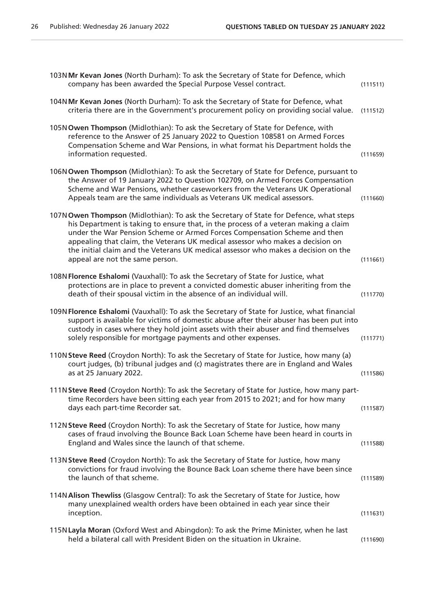| 103N Mr Kevan Jones (North Durham): To ask the Secretary of State for Defence, which<br>company has been awarded the Special Purpose Vessel contract.                                                                                                                                                                                                                                                                                                                 | (111511) |
|-----------------------------------------------------------------------------------------------------------------------------------------------------------------------------------------------------------------------------------------------------------------------------------------------------------------------------------------------------------------------------------------------------------------------------------------------------------------------|----------|
| 104N Mr Kevan Jones (North Durham): To ask the Secretary of State for Defence, what<br>criteria there are in the Government's procurement policy on providing social value.                                                                                                                                                                                                                                                                                           | (111512) |
| 105N Owen Thompson (Midlothian): To ask the Secretary of State for Defence, with<br>reference to the Answer of 25 January 2022 to Question 108581 on Armed Forces<br>Compensation Scheme and War Pensions, in what format his Department holds the<br>information requested.                                                                                                                                                                                          | (111659) |
| 106N Owen Thompson (Midlothian): To ask the Secretary of State for Defence, pursuant to<br>the Answer of 19 January 2022 to Question 102709, on Armed Forces Compensation<br>Scheme and War Pensions, whether caseworkers from the Veterans UK Operational<br>Appeals team are the same individuals as Veterans UK medical assessors.                                                                                                                                 | (111660) |
| 107N Owen Thompson (Midlothian): To ask the Secretary of State for Defence, what steps<br>his Department is taking to ensure that, in the process of a veteran making a claim<br>under the War Pension Scheme or Armed Forces Compensation Scheme and then<br>appealing that claim, the Veterans UK medical assessor who makes a decision on<br>the initial claim and the Veterans UK medical assessor who makes a decision on the<br>appeal are not the same person. | (111661) |
| 108N Florence Eshalomi (Vauxhall): To ask the Secretary of State for Justice, what<br>protections are in place to prevent a convicted domestic abuser inheriting from the<br>death of their spousal victim in the absence of an individual will.                                                                                                                                                                                                                      | (111770) |
| 109N Florence Eshalomi (Vauxhall): To ask the Secretary of State for Justice, what financial<br>support is available for victims of domestic abuse after their abuser has been put into<br>custody in cases where they hold joint assets with their abuser and find themselves<br>solely responsible for mortgage payments and other expenses.                                                                                                                        | (111771) |
| 110N Steve Reed (Croydon North): To ask the Secretary of State for Justice, how many (a)<br>court judges, (b) tribunal judges and (c) magistrates there are in England and Wales<br>as at 25 January 2022.                                                                                                                                                                                                                                                            | (111586) |
| 111N Steve Reed (Croydon North): To ask the Secretary of State for Justice, how many part-<br>time Recorders have been sitting each year from 2015 to 2021; and for how many<br>days each part-time Recorder sat.                                                                                                                                                                                                                                                     | (111587) |
| 112N Steve Reed (Croydon North): To ask the Secretary of State for Justice, how many<br>cases of fraud involving the Bounce Back Loan Scheme have been heard in courts in<br>England and Wales since the launch of that scheme.                                                                                                                                                                                                                                       | (111588) |
| 113N Steve Reed (Croydon North): To ask the Secretary of State for Justice, how many<br>convictions for fraud involving the Bounce Back Loan scheme there have been since<br>the launch of that scheme.                                                                                                                                                                                                                                                               | (111589) |
| 114N Alison Thewliss (Glasgow Central): To ask the Secretary of State for Justice, how<br>many unexplained wealth orders have been obtained in each year since their<br>inception.                                                                                                                                                                                                                                                                                    | (111631) |
| 115N Layla Moran (Oxford West and Abingdon): To ask the Prime Minister, when he last<br>held a bilateral call with President Biden on the situation in Ukraine.                                                                                                                                                                                                                                                                                                       | (111690) |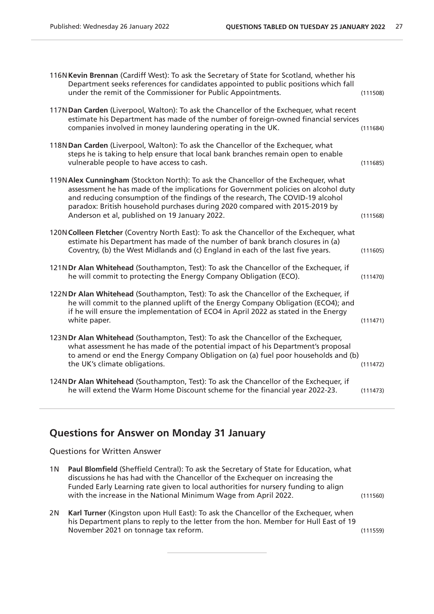| 116N Kevin Brennan (Cardiff West): To ask the Secretary of State for Scotland, whether his<br>Department seeks references for candidates appointed to public positions which fall<br>under the remit of the Commissioner for Public Appointments.                                                                                                                                           | (111508) |
|---------------------------------------------------------------------------------------------------------------------------------------------------------------------------------------------------------------------------------------------------------------------------------------------------------------------------------------------------------------------------------------------|----------|
| 117N Dan Carden (Liverpool, Walton): To ask the Chancellor of the Exchequer, what recent<br>estimate his Department has made of the number of foreign-owned financial services<br>companies involved in money laundering operating in the UK.                                                                                                                                               | (111684) |
| 118N Dan Carden (Liverpool, Walton): To ask the Chancellor of the Exchequer, what<br>steps he is taking to help ensure that local bank branches remain open to enable<br>vulnerable people to have access to cash.                                                                                                                                                                          | (111685) |
| 119N Alex Cunningham (Stockton North): To ask the Chancellor of the Exchequer, what<br>assessment he has made of the implications for Government policies on alcohol duty<br>and reducing consumption of the findings of the research, The COVID-19 alcohol<br>paradox: British household purchases during 2020 compared with 2015-2019 by<br>Anderson et al, published on 19 January 2022. | (111568) |
| 120N Colleen Fletcher (Coventry North East): To ask the Chancellor of the Exchequer, what<br>estimate his Department has made of the number of bank branch closures in (a)<br>Coventry, (b) the West Midlands and (c) England in each of the last five years.                                                                                                                               | (111605) |
| 121NDr Alan Whitehead (Southampton, Test): To ask the Chancellor of the Exchequer, if<br>he will commit to protecting the Energy Company Obligation (ECO).                                                                                                                                                                                                                                  | (111470) |
| 122N Dr Alan Whitehead (Southampton, Test): To ask the Chancellor of the Exchequer, if<br>he will commit to the planned uplift of the Energy Company Obligation (ECO4); and<br>if he will ensure the implementation of ECO4 in April 2022 as stated in the Energy<br>white paper.                                                                                                           | (111471) |
| 123N Dr Alan Whitehead (Southampton, Test): To ask the Chancellor of the Exchequer,<br>what assessment he has made of the potential impact of his Department's proposal<br>to amend or end the Energy Company Obligation on (a) fuel poor households and (b)<br>the UK's climate obligations.                                                                                               | (111472) |
| 124N Dr Alan Whitehead (Southampton, Test): To ask the Chancellor of the Exchequer, if<br>he will extend the Warm Home Discount scheme for the financial year 2022-23.                                                                                                                                                                                                                      | (111473) |

## **Questions for Answer on Monday 31 January**

Questions for Written Answer

| 1N Paul Blomfield (Sheffield Central): To ask the Secretary of State for Education, what |          |
|------------------------------------------------------------------------------------------|----------|
| discussions he has had with the Chancellor of the Exchequer on increasing the            |          |
| Funded Early Learning rate given to local authorities for nursery funding to align       |          |
| with the increase in the National Minimum Wage from April 2022.                          | (111560) |
|                                                                                          |          |

2N **Karl Turner** (Kingston upon Hull East): To ask the Chancellor of the Exchequer, when his Department plans to reply to the letter from the hon. Member for Hull East of 19 November 2021 on tonnage tax reform. (111559)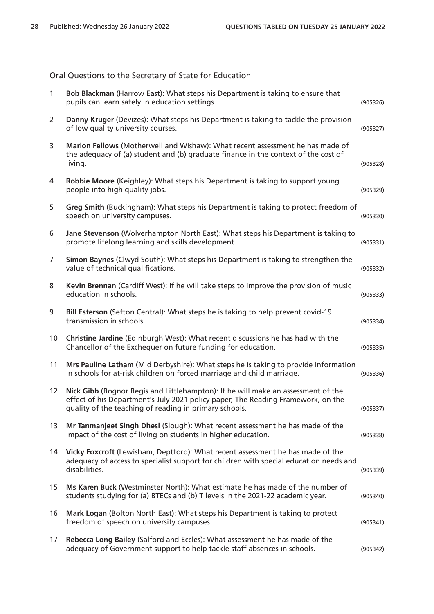Oral Questions to the Secretary of State for Education

| $\mathbf{1}$   | Bob Blackman (Harrow East): What steps his Department is taking to ensure that<br>pupils can learn safely in education settings.                                                                                               | (905326) |
|----------------|--------------------------------------------------------------------------------------------------------------------------------------------------------------------------------------------------------------------------------|----------|
| $\overline{2}$ | Danny Kruger (Devizes): What steps his Department is taking to tackle the provision<br>of low quality university courses.                                                                                                      | (905327) |
| 3              | Marion Fellows (Motherwell and Wishaw): What recent assessment he has made of<br>the adequacy of (a) student and (b) graduate finance in the context of the cost of<br>living.                                                 | (905328) |
| 4              | Robbie Moore (Keighley): What steps his Department is taking to support young<br>people into high quality jobs.                                                                                                                | (905329) |
| 5              | Greg Smith (Buckingham): What steps his Department is taking to protect freedom of<br>speech on university campuses.                                                                                                           | (905330) |
| 6              | Jane Stevenson (Wolverhampton North East): What steps his Department is taking to<br>promote lifelong learning and skills development.                                                                                         | (905331) |
| 7              | Simon Baynes (Clwyd South): What steps his Department is taking to strengthen the<br>value of technical qualifications.                                                                                                        | (905332) |
| 8              | Kevin Brennan (Cardiff West): If he will take steps to improve the provision of music<br>education in schools.                                                                                                                 | (905333) |
| 9              | Bill Esterson (Sefton Central): What steps he is taking to help prevent covid-19<br>transmission in schools.                                                                                                                   | (905334) |
| 10             | Christine Jardine (Edinburgh West): What recent discussions he has had with the<br>Chancellor of the Exchequer on future funding for education.                                                                                | (905335) |
| 11             | Mrs Pauline Latham (Mid Derbyshire): What steps he is taking to provide information<br>in schools for at-risk children on forced marriage and child marriage.                                                                  | (905336) |
| 12             | Nick Gibb (Bognor Regis and Littlehampton): If he will make an assessment of the<br>effect of his Department's July 2021 policy paper, The Reading Framework, on the<br>quality of the teaching of reading in primary schools. | (905337) |
| 13             | Mr Tanmanjeet Singh Dhesi (Slough): What recent assessment he has made of the<br>impact of the cost of living on students in higher education.                                                                                 | (905338) |
| 14             | Vicky Foxcroft (Lewisham, Deptford): What recent assessment he has made of the<br>adequacy of access to specialist support for children with special education needs and<br>disabilities.                                      | (905339) |
| 15             | Ms Karen Buck (Westminster North): What estimate he has made of the number of<br>students studying for (a) BTECs and (b) T levels in the 2021-22 academic year.                                                                | (905340) |
| 16             | Mark Logan (Bolton North East): What steps his Department is taking to protect<br>freedom of speech on university campuses.                                                                                                    | (905341) |
| 17             | Rebecca Long Bailey (Salford and Eccles): What assessment he has made of the<br>adequacy of Government support to help tackle staff absences in schools.                                                                       | (905342) |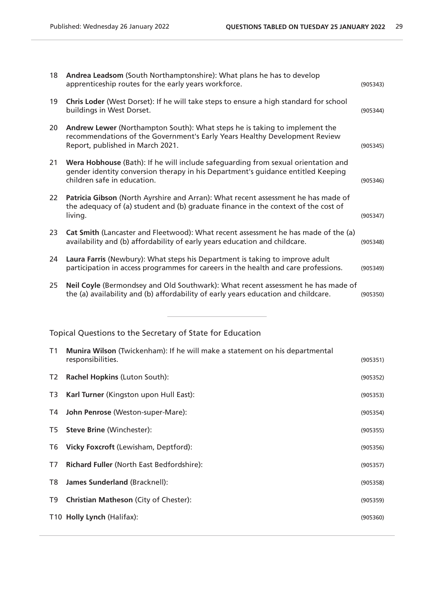| Chris Loder (West Dorset): If he will take steps to ensure a high standard for school<br>19<br>buildings in West Dorset.<br>Andrew Lewer (Northampton South): What steps he is taking to implement the<br>20<br>recommendations of the Government's Early Years Healthy Development Review<br>Report, published in March 2021.<br>21<br>Wera Hobhouse (Bath): If he will include safeguarding from sexual orientation and<br>gender identity conversion therapy in his Department's guidance entitled Keeping | (905343) |
|---------------------------------------------------------------------------------------------------------------------------------------------------------------------------------------------------------------------------------------------------------------------------------------------------------------------------------------------------------------------------------------------------------------------------------------------------------------------------------------------------------------|----------|
|                                                                                                                                                                                                                                                                                                                                                                                                                                                                                                               | (905344) |
|                                                                                                                                                                                                                                                                                                                                                                                                                                                                                                               | (905345) |
| children safe in education.                                                                                                                                                                                                                                                                                                                                                                                                                                                                                   | (905346) |
| Patricia Gibson (North Ayrshire and Arran): What recent assessment he has made of<br>22<br>the adequacy of (a) student and (b) graduate finance in the context of the cost of<br>living.                                                                                                                                                                                                                                                                                                                      | (905347) |
| 23<br>Cat Smith (Lancaster and Fleetwood): What recent assessment he has made of the (a)<br>availability and (b) affordability of early years education and childcare.                                                                                                                                                                                                                                                                                                                                        | (905348) |
| Laura Farris (Newbury): What steps his Department is taking to improve adult<br>24<br>participation in access programmes for careers in the health and care professions.                                                                                                                                                                                                                                                                                                                                      | (905349) |
| Neil Coyle (Bermondsey and Old Southwark): What recent assessment he has made of<br>25<br>the (a) availability and (b) affordability of early years education and childcare.                                                                                                                                                                                                                                                                                                                                  | (905350) |

Topical Questions to the Secretary of State for Education

| T1   | <b>Munira Wilson</b> (Twickenham): If he will make a statement on his departmental<br>responsibilities. | (905351) |
|------|---------------------------------------------------------------------------------------------------------|----------|
| T2   | <b>Rachel Hopkins (Luton South):</b>                                                                    | (905352) |
| T3   | Karl Turner (Kingston upon Hull East):                                                                  | (905353) |
| T4 I | John Penrose (Weston-super-Mare):                                                                       | (905354) |
|      | T5 <b>Steve Brine</b> (Winchester):                                                                     | (905355) |
|      | T6 Vicky Foxcroft (Lewisham, Deptford):                                                                 | (905356) |
| T7   | <b>Richard Fuller (North East Bedfordshire):</b>                                                        | (905357) |
| T8 I | James Sunderland (Bracknell):                                                                           | (905358) |
| T9   | <b>Christian Matheson (City of Chester):</b>                                                            | (905359) |
|      | T10 Holly Lynch (Halifax):                                                                              | (905360) |
|      |                                                                                                         |          |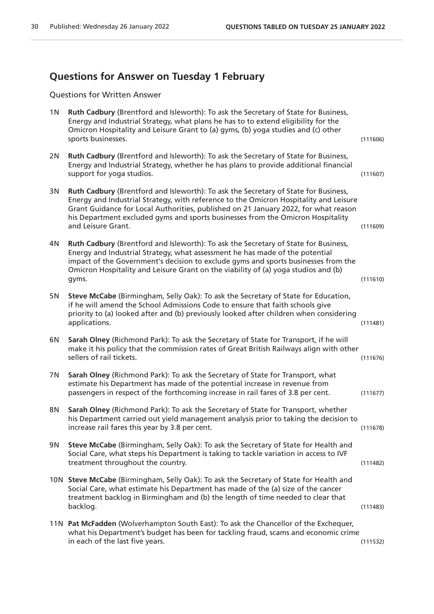## **Questions for Answer on Tuesday 1 February**

Questions for Written Answer

| 1 N | Ruth Cadbury (Brentford and Isleworth): To ask the Secretary of State for Business,<br>Energy and Industrial Strategy, what plans he has to to extend eligibility for the<br>Omicron Hospitality and Leisure Grant to (a) gyms, (b) yoga studies and (c) other<br>sports businesses.                                                                                         | (111606) |
|-----|------------------------------------------------------------------------------------------------------------------------------------------------------------------------------------------------------------------------------------------------------------------------------------------------------------------------------------------------------------------------------|----------|
| 2N  | Ruth Cadbury (Brentford and Isleworth): To ask the Secretary of State for Business,<br>Energy and Industrial Strategy, whether he has plans to provide additional financial<br>support for yoga studios.                                                                                                                                                                     | (111607) |
| 3N  | Ruth Cadbury (Brentford and Isleworth): To ask the Secretary of State for Business,<br>Energy and Industrial Strategy, with reference to the Omicron Hospitality and Leisure<br>Grant Guidance for Local Authorities, published on 21 January 2022, for what reason<br>his Department excluded gyms and sports businesses from the Omicron Hospitality<br>and Leisure Grant. | (111609) |
| 4N  | Ruth Cadbury (Brentford and Isleworth): To ask the Secretary of State for Business,<br>Energy and Industrial Strategy, what assessment he has made of the potential<br>impact of the Government's decision to exclude gyms and sports businesses from the<br>Omicron Hospitality and Leisure Grant on the viability of (a) yoga studios and (b)<br>gyms.                     | (111610) |
| 5N  | Steve McCabe (Birmingham, Selly Oak): To ask the Secretary of State for Education,<br>if he will amend the School Admissions Code to ensure that faith schools give<br>priority to (a) looked after and (b) previously looked after children when considering<br>applications.                                                                                               | (111481) |
| 6N  | Sarah Olney (Richmond Park): To ask the Secretary of State for Transport, if he will<br>make it his policy that the commission rates of Great British Railways align with other<br>sellers of rail tickets.                                                                                                                                                                  | (111676) |
| 7N  | Sarah Olney (Richmond Park): To ask the Secretary of State for Transport, what<br>estimate his Department has made of the potential increase in revenue from<br>passengers in respect of the forthcoming increase in rail fares of 3.8 per cent.                                                                                                                             | (111677) |
| 8N  | Sarah Olney (Richmond Park): To ask the Secretary of State for Transport, whether<br>his Department carried out yield management analysis prior to taking the decision to<br>increase rail fares this year by 3.8 per cent.                                                                                                                                                  | (111678) |
| 9N  | Steve McCabe (Birmingham, Selly Oak): To ask the Secretary of State for Health and<br>Social Care, what steps his Department is taking to tackle variation in access to IVF<br>treatment throughout the country.                                                                                                                                                             | (111482) |
|     | 10N Steve McCabe (Birmingham, Selly Oak): To ask the Secretary of State for Health and<br>Social Care, what estimate his Department has made of the (a) size of the cancer<br>treatment backlog in Birmingham and (b) the length of time needed to clear that<br>backlog.                                                                                                    | (111483) |
|     | 11N Pat McFadden (Wolverhampton South East): To ask the Chancellor of the Exchequer,<br>what his Department's budget has been for tackling fraud, scams and economic crime<br>in each of the last five years.                                                                                                                                                                | (111532) |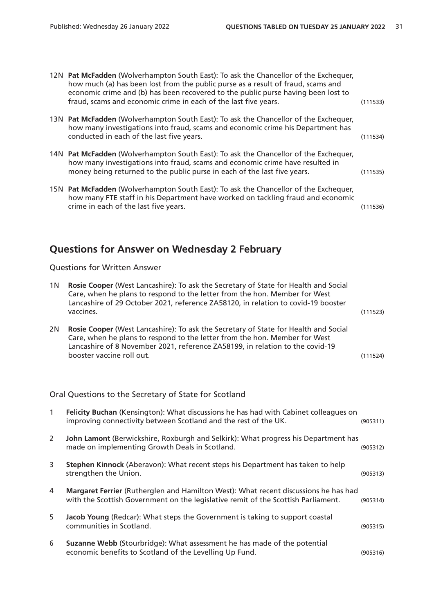| 12N Pat McFadden (Wolverhampton South East): To ask the Chancellor of the Exchequer,<br>how much (a) has been lost from the public purse as a result of fraud, scams and<br>economic crime and (b) has been recovered to the public purse having been lost to<br>fraud, scams and economic crime in each of the last five years. | (111533) |
|----------------------------------------------------------------------------------------------------------------------------------------------------------------------------------------------------------------------------------------------------------------------------------------------------------------------------------|----------|
| 13N Pat McFadden (Wolverhampton South East): To ask the Chancellor of the Exchequer,<br>how many investigations into fraud, scams and economic crime his Department has<br>conducted in each of the last five years.                                                                                                             | (111534) |
| 14N Pat McFadden (Wolverhampton South East): To ask the Chancellor of the Exchequer,<br>how many investigations into fraud, scams and economic crime have resulted in<br>money being returned to the public purse in each of the last five years.                                                                                | (111535) |
| 15N Pat McFadden (Wolverhampton South East): To ask the Chancellor of the Exchequer,<br>how many FTE staff in his Department have worked on tackling fraud and economic<br>crime in each of the last five years.                                                                                                                 | (111536) |

# **Questions for Answer on Wednesday 2 February**

Questions for Written Answer

| 1 <sub>N</sub> | Rosie Cooper (West Lancashire): To ask the Secretary of State for Health and Social<br>Care, when he plans to respond to the letter from the hon. Member for West<br>Lancashire of 29 October 2021, reference ZA58120, in relation to covid-19 booster<br>vaccines.             | (111523) |
|----------------|---------------------------------------------------------------------------------------------------------------------------------------------------------------------------------------------------------------------------------------------------------------------------------|----------|
| 2N             | Rosie Cooper (West Lancashire): To ask the Secretary of State for Health and Social<br>Care, when he plans to respond to the letter from the hon. Member for West<br>Lancashire of 8 November 2021, reference ZA58199, in relation to the covid-19<br>booster vaccine roll out. | (111524) |
|                | Oral Questions to the Secretary of State for Scotland                                                                                                                                                                                                                           |          |
| $\mathbf{1}$   | Felicity Buchan (Kensington): What discussions he has had with Cabinet colleagues on<br>improving connectivity between Scotland and the rest of the UK.                                                                                                                         | (905311) |
| $\overline{2}$ | John Lamont (Berwickshire, Roxburgh and Selkirk): What progress his Department has<br>made on implementing Growth Deals in Scotland.                                                                                                                                            | (905312) |
| 3              | Stephen Kinnock (Aberavon): What recent steps his Department has taken to help<br>strengthen the Union.                                                                                                                                                                         | (905313) |
| 4              | Margaret Ferrier (Rutherglen and Hamilton West): What recent discussions he has had<br>with the Scottish Government on the legislative remit of the Scottish Parliament.                                                                                                        | (905314) |
| 5              | Jacob Young (Redcar): What steps the Government is taking to support coastal<br>communities in Scotland.                                                                                                                                                                        | (905315) |
| 6              | Suzanne Webb (Stourbridge): What assessment he has made of the potential<br>economic benefits to Scotland of the Levelling Up Fund.                                                                                                                                             | (905316) |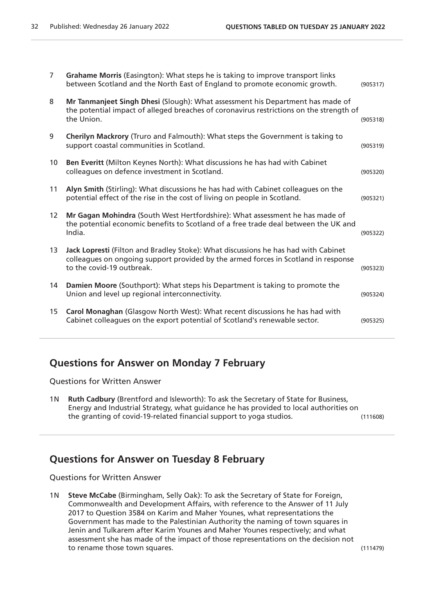| $\overline{7}$  | Grahame Morris (Easington): What steps he is taking to improve transport links<br>between Scotland and the North East of England to promote economic growth.                                          | (905317) |
|-----------------|-------------------------------------------------------------------------------------------------------------------------------------------------------------------------------------------------------|----------|
| 8               | Mr Tanmanjeet Singh Dhesi (Slough): What assessment his Department has made of<br>the potential impact of alleged breaches of coronavirus restrictions on the strength of<br>the Union.               | (905318) |
| 9               | Cherilyn Mackrory (Truro and Falmouth): What steps the Government is taking to<br>support coastal communities in Scotland.                                                                            | (905319) |
| 10              | Ben Everitt (Milton Keynes North): What discussions he has had with Cabinet<br>colleagues on defence investment in Scotland.                                                                          | (905320) |
| 11              | Alyn Smith (Stirling): What discussions he has had with Cabinet colleagues on the<br>potential effect of the rise in the cost of living on people in Scotland.                                        | (905321) |
| 12 <sup>2</sup> | Mr Gagan Mohindra (South West Hertfordshire): What assessment he has made of<br>the potential economic benefits to Scotland of a free trade deal between the UK and<br>India.                         | (905322) |
| 13              | Jack Lopresti (Filton and Bradley Stoke): What discussions he has had with Cabinet<br>colleagues on ongoing support provided by the armed forces in Scotland in response<br>to the covid-19 outbreak. | (905323) |
| 14              | Damien Moore (Southport): What steps his Department is taking to promote the<br>Union and level up regional interconnectivity.                                                                        | (905324) |
| 15              | Carol Monaghan (Glasgow North West): What recent discussions he has had with<br>Cabinet colleagues on the export potential of Scotland's renewable sector.                                            | (905325) |
|                 |                                                                                                                                                                                                       |          |

## **Questions for Answer on Monday 7 February**

Questions for Written Answer

1N **Ruth Cadbury** (Brentford and Isleworth): To ask the Secretary of State for Business, Energy and Industrial Strategy, what guidance he has provided to local authorities on the granting of covid-19-related financial support to yoga studios. (111608)

#### **Questions for Answer on Tuesday 8 February**

Questions for Written Answer

1N **Steve McCabe** (Birmingham, Selly Oak): To ask the Secretary of State for Foreign, Commonwealth and Development Affairs, with reference to the Answer of 11 July 2017 to Question 3584 on Karim and Maher Younes, what representations the Government has made to the Palestinian Authority the naming of town squares in Jenin and Tulkarem after Karim Younes and Maher Younes respectively; and what assessment she has made of the impact of those representations on the decision not to rename those town squares. (111479)